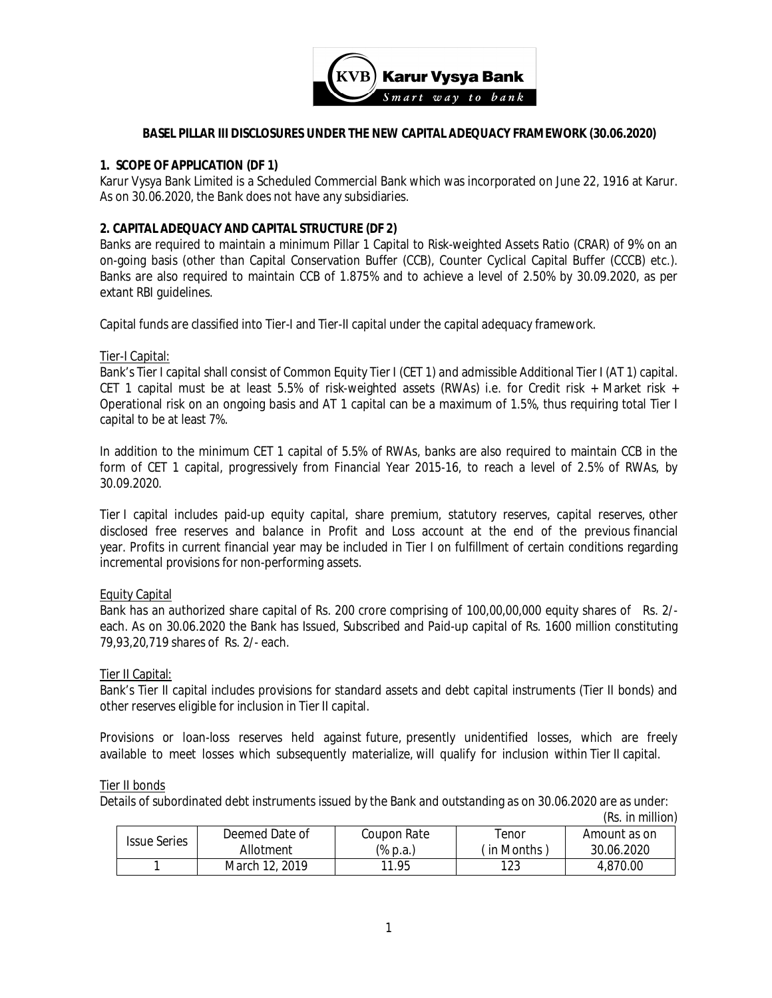

#### **BASEL PILLAR III DISCLOSURES UNDER THE NEW CAPITAL ADEQUACY FRAMEWORK (30.06.2020)**

#### **1. SCOPE OF APPLICATION (DF 1)**

Karur Vysya Bank Limited is a Scheduled Commercial Bank which was incorporated on June 22, 1916 at Karur. As on 30.06.2020, the Bank does not have any subsidiaries.

### **2. CAPITAL ADEQUACY AND CAPITAL STRUCTURE (DF 2)**

Banks are required to maintain a minimum Pillar 1 Capital to Risk-weighted Assets Ratio (CRAR) of 9% on an on-going basis (other than Capital Conservation Buffer (CCB), Counter Cyclical Capital Buffer (CCCB) etc.). Banks are also required to maintain CCB of 1.875% and to achieve a level of 2.50% by 30.09.2020, as per extant RBI guidelines.

Capital funds are classified into Tier-I and Tier-II capital under the capital adequacy framework.

#### Tier-I Capital:

Bank's Tier I capital shall consist of Common Equity Tier I (CET 1) and admissible Additional Tier I (AT 1) capital. CET 1 capital must be at least 5.5% of risk-weighted assets (RWAs) i.e. for Credit risk + Market risk + Operational risk on an ongoing basis and AT 1 capital can be a maximum of 1.5%, thus requiring total Tier I capital to be at least 7%.

In addition to the minimum CET 1 capital of 5.5% of RWAs, banks are also required to maintain CCB in the form of CET 1 capital, progressively from Financial Year 2015-16, to reach a level of 2.5% of RWAs, by 30.09.2020.

Tier I capital includes paid-up equity capital, share premium, statutory reserves, capital reserves, other disclosed free reserves and balance in Profit and Loss account at the end of the previous financial year. Profits in current financial year may be included in Tier I on fulfillment of certain conditions regarding incremental provisions for non-performing assets.

#### Equity Capital

Bank has an authorized share capital of Rs. 200 crore comprising of 100,00,00,000 equity shares of Rs. 2/ each. As on 30.06.2020 the Bank has Issued, Subscribed and Paid-up capital of Rs. 1600 million constituting 79,93,20,719 shares of Rs. 2/- each.

#### Tier II Capital:

Bank's Tier II capital includes provisions for standard assets and debt capital instruments (Tier II bonds) and other reserves eligible for inclusion in Tier II capital.

Provisions or loan-loss reserves held against future, presently unidentified losses, which are freely available to meet losses which subsequently materialize, will qualify for inclusion within Tier II capital.

#### Tier II bonds

Details of subordinated debt instruments issued by the Bank and outstanding as on 30.06.2020 are as under:

|                     |                |             |              | (Rs. in million) |
|---------------------|----------------|-------------|--------------|------------------|
| <b>Issue Series</b> | Deemed Date of | Coupon Rate | Tenor        | Amount as on     |
|                     | Allotment      | (% p.a.)    | (in Months ) | 30.06.2020       |
|                     | March 12, 2019 | 11.95       | 123          | 4.870.00         |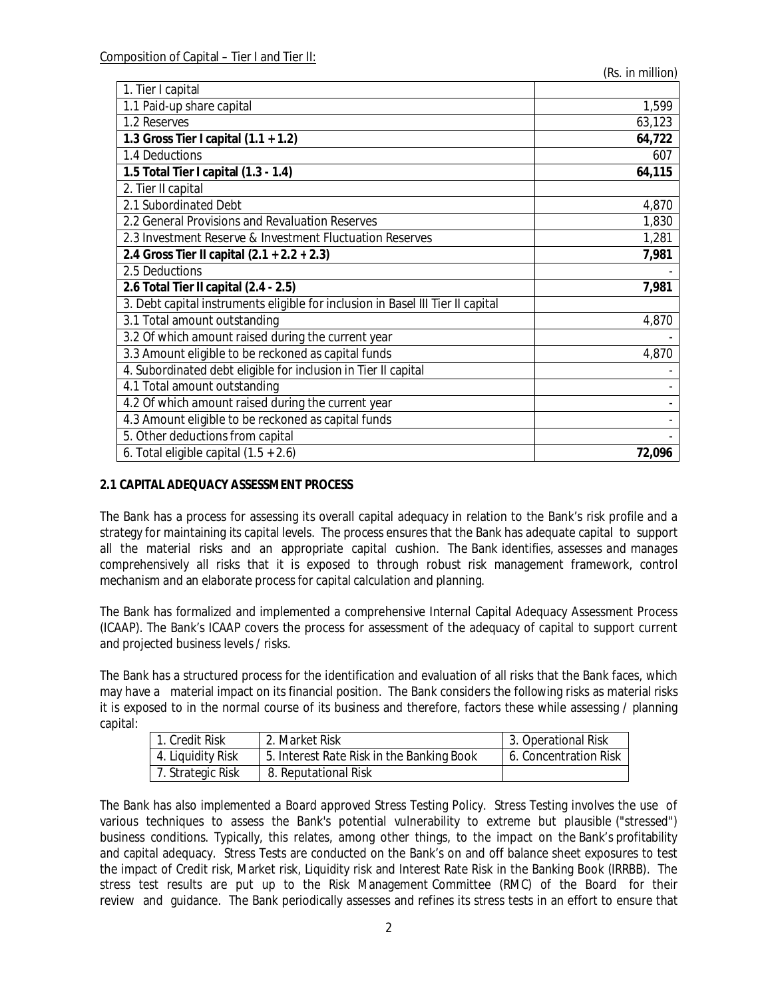| 1. Tier I capital                                                               |        |
|---------------------------------------------------------------------------------|--------|
| 1.1 Paid-up share capital                                                       | 1,599  |
| 1.2 Reserves                                                                    | 63,123 |
| 1.3 Gross Tier I capital $(1.1 + 1.2)$                                          | 64,722 |
| 1.4 Deductions                                                                  | 607    |
| 1.5 Total Tier I capital (1.3 - 1.4)                                            | 64,115 |
| 2. Tier II capital                                                              |        |
| 2.1 Subordinated Debt                                                           | 4,870  |
| 2.2 General Provisions and Revaluation Reserves                                 | 1,830  |
| 2.3 Investment Reserve & Investment Fluctuation Reserves                        | 1,281  |
| 2.4 Gross Tier II capital $(2.1 + 2.2 + 2.3)$                                   | 7,981  |
| 2.5 Deductions                                                                  |        |
| 2.6 Total Tier II capital (2.4 - 2.5)                                           | 7,981  |
| 3. Debt capital instruments eligible for inclusion in Basel III Tier II capital |        |
| 3.1 Total amount outstanding                                                    | 4,870  |
| 3.2 Of which amount raised during the current year                              |        |
| 3.3 Amount eligible to be reckoned as capital funds                             | 4,870  |
| 4. Subordinated debt eligible for inclusion in Tier II capital                  |        |
| 4.1 Total amount outstanding                                                    |        |
| 4.2 Of which amount raised during the current year                              |        |
| 4.3 Amount eligible to be reckoned as capital funds                             |        |
| 5. Other deductions from capital                                                |        |
| 6. Total eligible capital $(1.5 + 2.6)$                                         | 72,096 |

### **2.1 CAPITAL ADEQUACY ASSESSMENT PROCESS**

The Bank has a process for assessing its overall capital adequacy in relation to the Bank's risk profile and a strategy for maintaining its capital levels. The process ensures that the Bank has adequate capital to support all the material risks and an appropriate capital cushion. The Bank identifies, assesses and manages comprehensively all risks that it is exposed to through robust risk management framework, control mechanism and an elaborate process for capital calculation and planning.

The Bank has formalized and implemented a comprehensive Internal Capital Adequacy Assessment Process (ICAAP). The Bank's ICAAP covers the process for assessment of the adequacy of capital to support current and projected business levels / risks.

The Bank has a structured process for the identification and evaluation of all risks that the Bank faces, which may have a material impact on its financial position. The Bank considers the following risks as material risks it is exposed to in the normal course of its business and therefore, factors these while assessing / planning capital:

| 1. Credit Risk    | 2. Market Risk                            | 3. Operational Risk   |
|-------------------|-------------------------------------------|-----------------------|
| 4. Liquidity Risk | 5. Interest Rate Risk in the Banking Book | 6. Concentration Risk |
| 7. Strategic Risk | 8. Reputational Risk                      |                       |

The Bank has also implemented a Board approved Stress Testing Policy. Stress Testing involves the use of various techniques to assess the Bank's potential vulnerability to extreme but plausible ("stressed") business conditions. Typically, this relates, among other things, to the impact on the Bank's profitability and capital adequacy. Stress Tests are conducted on the Bank's on and off balance sheet exposures to test the impact of Credit risk, Market risk, Liquidity risk and Interest Rate Risk in the Banking Book (IRRBB). The stress test results are put up to the Risk Management Committee (RMC) of the Board for their review and guidance. The Bank periodically assesses and refines its stress tests in an effort to ensure that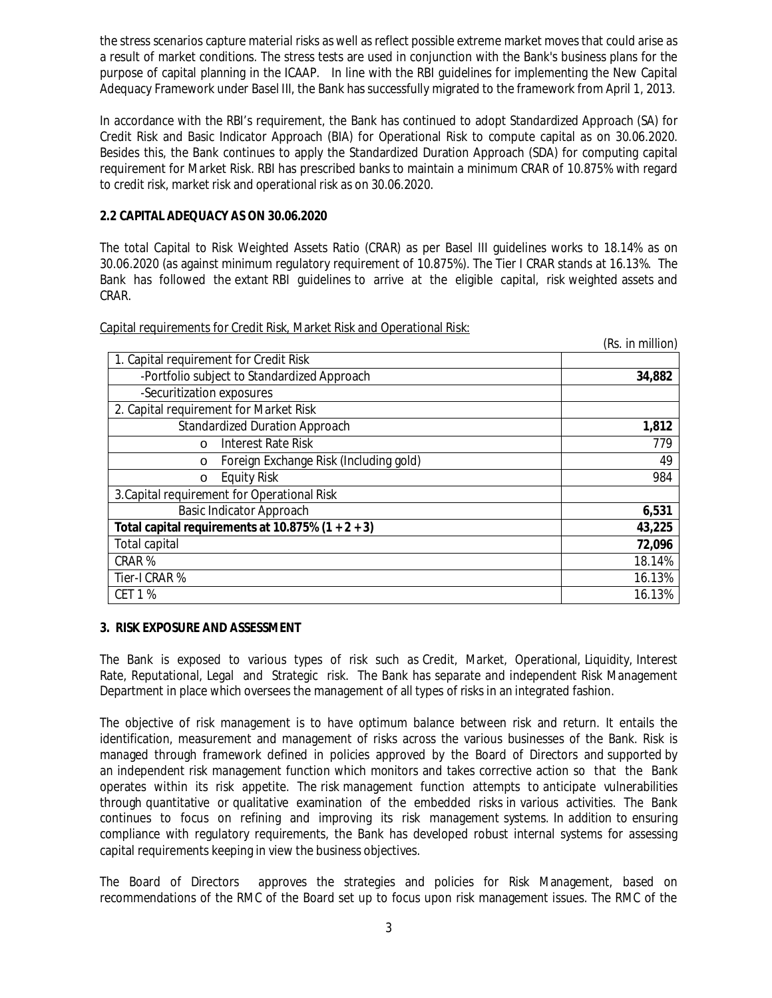the stress scenarios capture material risks as well as reflect possible extreme market moves that could arise as a result of market conditions. The stress tests are used in conjunction with the Bank's business plans for the purpose of capital planning in the ICAAP. In line with the RBI guidelines for implementing the New Capital Adequacy Framework under Basel III, the Bank has successfully migrated to the framework from April 1, 2013.

In accordance with the RBI's requirement, the Bank has continued to adopt Standardized Approach (SA) for Credit Risk and Basic Indicator Approach (BIA) for Operational Risk to compute capital as on 30.06.2020. Besides this, the Bank continues to apply the Standardized Duration Approach (SDA) for computing capital requirement for Market Risk. RBI has prescribed banks to maintain a minimum CRAR of 10.875% with regard to credit risk, market risk and operational risk as on 30.06.2020.

### **2.2 CAPITAL ADEQUACY AS ON 30.06.2020**

The total Capital to Risk Weighted Assets Ratio (CRAR) as per Basel III guidelines works to 18.14% as on 30.06.2020 (as against minimum regulatory requirement of 10.875%). The Tier I CRAR stands at 16.13%. The Bank has followed the extant RBI guidelines to arrive at the eligible capital, risk weighted assets and CRAR.

*(Rs. in million*)

Capital requirements for Credit Risk, Market Risk and Operational Risk:

|                                                     | (RS. 111 1111111011) |
|-----------------------------------------------------|----------------------|
| 1. Capital requirement for Credit Risk              |                      |
| -Portfolio subject to Standardized Approach         | 34,882               |
| -Securitization exposures                           |                      |
| 2. Capital requirement for Market Risk              |                      |
| <b>Standardized Duration Approach</b>               | 1,812                |
| <b>Interest Rate Risk</b><br>$\circ$                | 779                  |
| Foreign Exchange Risk (Including gold)<br>$\circ$   | 49                   |
| <b>Equity Risk</b><br>$\circ$                       | 984                  |
| 3. Capital requirement for Operational Risk         |                      |
| <b>Basic Indicator Approach</b>                     | 6,531                |
| Total capital requirements at 10.875% $(1 + 2 + 3)$ | 43,225               |
| <b>Total capital</b>                                | 72,096               |
| CRAR%                                               | 18.14%               |
| Tier-I CRAR %                                       | 16.13%               |
| <b>CET 1 %</b>                                      | 16.13%               |

### **3. RISK EXPOSURE AND ASSESSMENT**

The Bank is exposed to various types of risk such as Credit, Market, Operational, Liquidity, Interest Rate, Reputational, Legal and Strategic risk. The Bank has separate and independent Risk Management Department in place which oversees the management of all types of risks in an integrated fashion.

The objective of risk management is to have optimum balance between risk and return. It entails the identification, measurement and management of risks across the various businesses of the Bank. Risk is managed through framework defined in policies approved by the Board of Directors and supported by an independent risk management function which monitors and takes corrective action so that the Bank operates within its risk appetite. The risk management function attempts to anticipate vulnerabilities through quantitative or qualitative examination of the embedded risks in various activities. The Bank continues to focus on refining and improving its risk management systems. In addition to ensuring compliance with regulatory requirements, the Bank has developed robust internal systems for assessing capital requirements keeping in view the business objectives.

The Board of Directors approves the strategies and policies for Risk Management, based on recommendations of the RMC of the Board set up to focus upon risk management issues. The RMC of the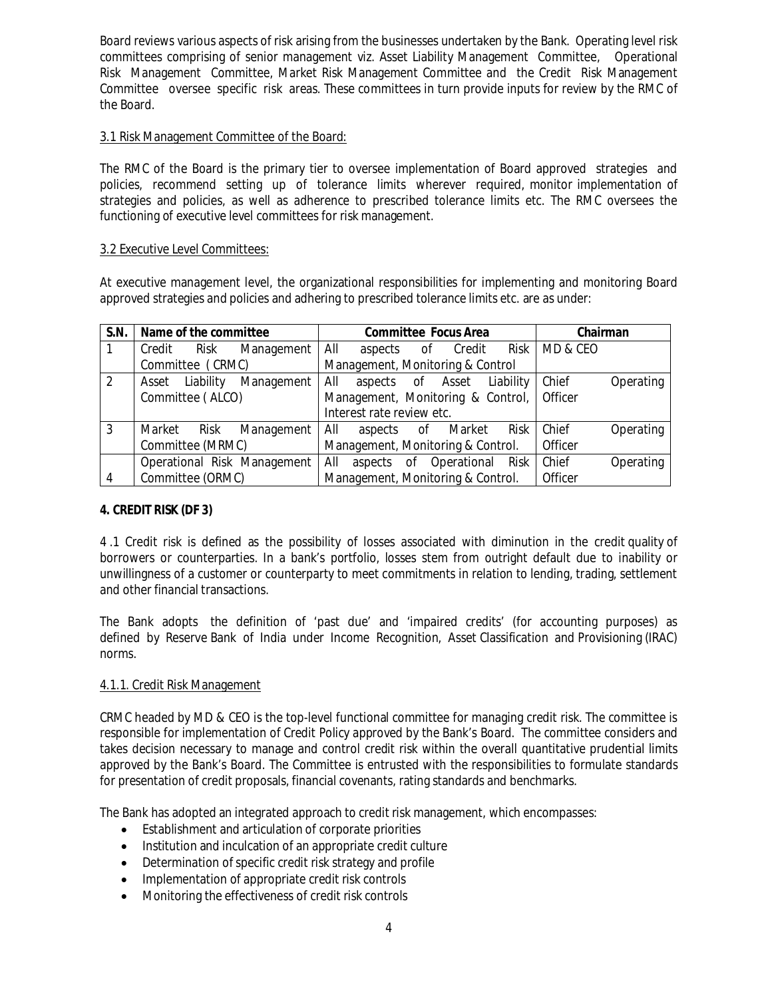Board reviews various aspects of risk arising from the businesses undertaken by the Bank. Operating level risk committees comprising of senior management viz. Asset Liability Management Committee, Operational Risk Management Committee, Market Risk Management Committee and the Credit Risk Management Committee oversee specific risk areas. These committees in turn provide inputs for review by the RMC of the Board.

### 3.1 Risk Management Committee of the Board:

The RMC of the Board is the primary tier to oversee implementation of Board approved strategies and policies, recommend setting up of tolerance limits wherever required, monitor implementation of strategies and policies, as well as adherence to prescribed tolerance limits etc. The RMC oversees the functioning of executive level committees for risk management.

### 3.2 Executive Level Committees:

At executive management level, the organizational responsibilities for implementing and monitoring Board approved strategies and policies and adhering to prescribed tolerance limits etc. are as under:

| S.N. |                  | Name of the committee                                 |                             |                                   |                                   | <b>Committee Focus Area</b> |              |           |  | Chairman |           |
|------|------------------|-------------------------------------------------------|-----------------------------|-----------------------------------|-----------------------------------|-----------------------------|--------------|-----------|--|----------|-----------|
|      | Credit           | Risk                                                  | Management                  | All                               | aspects                           |                             | Credit<br>0f | Risk      |  | MD & CEO |           |
|      | Committee (CRMC) |                                                       |                             | Management, Monitoring & Control  |                                   |                             |              |           |  |          |           |
| 2    | Asset            | Liability                                             | Management                  | All                               | aspects                           | of                          | Asset        | Liability |  | Chief    | Operating |
|      | Committee (ALCO) |                                                       |                             | Management, Monitoring & Control, |                                   |                             |              | Officer   |  |          |           |
|      |                  |                                                       |                             | Interest rate review etc.         |                                   |                             |              |           |  |          |           |
| 3    | Market           | Risk                                                  | Management                  | All                               | aspects                           | 0f                          | Market       | Risk      |  | Chief    | Operating |
|      |                  | Committee (MRMC)<br>Management, Monitoring & Control. |                             |                                   |                                   |                             | Officer      |           |  |          |           |
|      |                  |                                                       | Operational Risk Management | All                               | aspects                           | 0f                          | Operational  | Risk      |  | Chief    | Operating |
| 4    | Committee (ORMC) |                                                       |                             |                                   | Management, Monitoring & Control. |                             |              |           |  | Officer  |           |

## **4. CREDIT RISK (DF 3)**

4 .1 Credit risk is defined as the possibility of losses associated with diminution in the credit quality of borrowers or counterparties. In a bank's portfolio, losses stem from outright default due to inability or unwillingness of a customer or counterparty to meet commitments in relation to lending, trading, settlement and other financial transactions.

The Bank adopts the definition of 'past due' and 'impaired credits' (for accounting purposes) as defined by Reserve Bank of India under Income Recognition, Asset Classification and Provisioning (IRAC) norms.

## 4.1.1. Credit Risk Management

CRMC headed by MD & CEO is the top-level functional committee for managing credit risk. The committee is responsible for implementation of Credit Policy approved by the Bank's Board. The committee considers and takes decision necessary to manage and control credit risk within the overall quantitative prudential limits approved by the Bank's Board. The Committee is entrusted with the responsibilities to formulate standards for presentation of credit proposals, financial covenants, rating standards and benchmarks.

The Bank has adopted an integrated approach to credit risk management, which encompasses:

- Establishment and articulation of corporate priorities
- Institution and inculcation of an appropriate credit culture
- Determination of specific credit risk strategy and profile
- Implementation of appropriate credit risk controls
- Monitoring the effectiveness of credit risk controls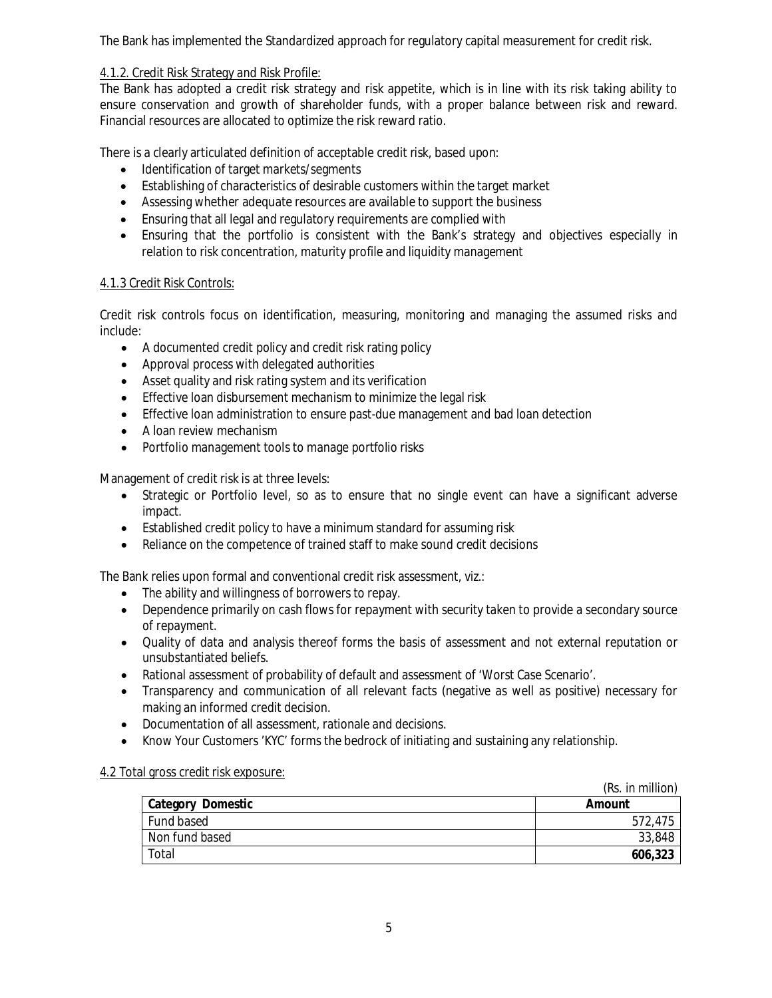The Bank has implemented the Standardized approach for regulatory capital measurement for credit risk.

## 4.1.2. Credit Risk Strategy and Risk Profile:

The Bank has adopted a credit risk strategy and risk appetite, which is in line with its risk taking ability to ensure conservation and growth of shareholder funds, with a proper balance between risk and reward. Financial resources are allocated to optimize the risk reward ratio.

There is a clearly articulated definition of acceptable credit risk, based upon:

- Identification of target markets/segments
- Establishing of characteristics of desirable customers within the target market
- Assessing whether adequate resources are available to support the business
- Ensuring that all legal and regulatory requirements are complied with
- Ensuring that the portfolio is consistent with the Bank's strategy and objectives especially in relation to risk concentration, maturity profile and liquidity management

### 4.1.3 Credit Risk Controls:

Credit risk controls focus on identification, measuring, monitoring and managing the assumed risks and include:

- A documented credit policy and credit risk rating policy
- Approval process with delegated authorities
- Asset quality and risk rating system and its verification
- **Effective loan disbursement mechanism to minimize the legal risk**
- Effective loan administration to ensure past-due management and bad loan detection
- A loan review mechanism
- Portfolio management tools to manage portfolio risks

Management of credit risk is at three levels:

- Strategic or Portfolio level, so as to ensure that no single event can have a significant adverse impact.
- Established credit policy to have a minimum standard for assuming risk
- Reliance on the competence of trained staff to make sound credit decisions

The Bank relies upon formal and conventional credit risk assessment, viz.:

- The ability and willingness of borrowers to repay.
- Dependence primarily on cash flows for repayment with security taken to provide a secondary source of repayment.
- Quality of data and analysis thereof forms the basis of assessment and not external reputation or unsubstantiated beliefs.
- Rational assessment of probability of default and assessment of 'Worst Case Scenario'.
- Transparency and communication of all relevant facts (negative as well as positive) necessary for making an informed credit decision.
- Documentation of all assessment, rationale and decisions.
- Know Your Customers 'KYC' forms the bedrock of initiating and sustaining any relationship.

### 4.2 Total gross credit risk exposure:

|                   | (Rs. in million) |
|-------------------|------------------|
| Category Domestic | Amount           |
| Fund based        | 572,475          |
| Non fund based    | 33,848           |
| Total             | 606,323          |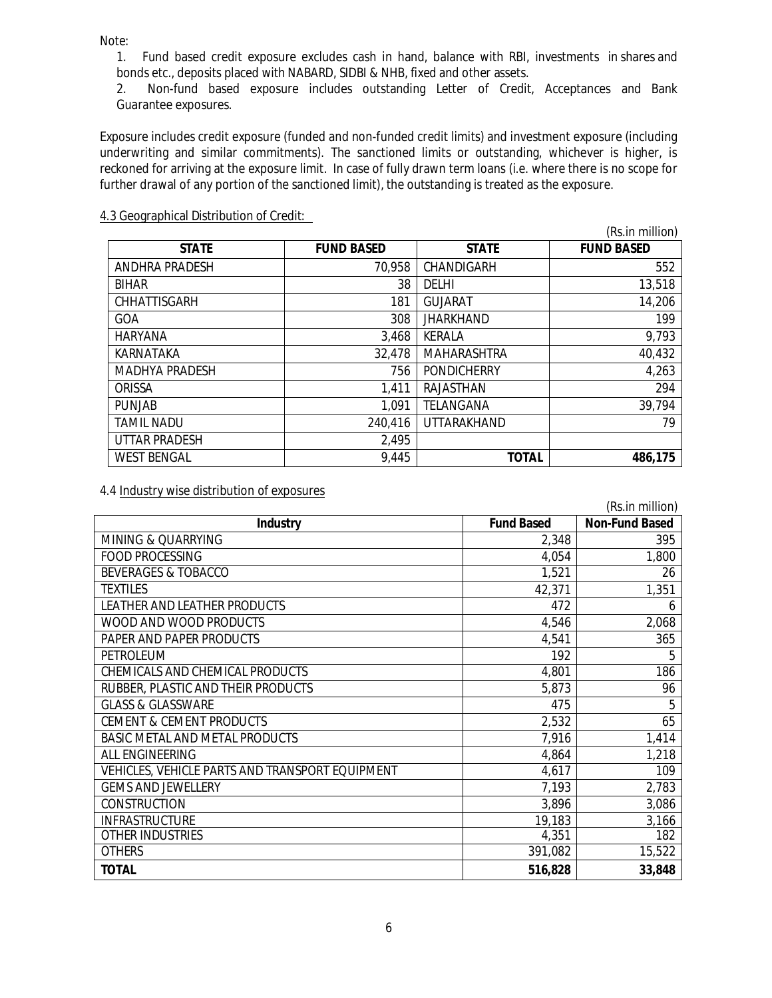*Note:*

1. Fund based credit exposure excludes cash in hand, balance with RBI, investments in shares and bonds etc., deposits placed with NABARD, SIDBI & NHB, fixed and other assets.

2. Non-fund based exposure includes outstanding Letter of Credit, Acceptances and Bank Guarantee exposures.

Exposure includes credit exposure (funded and non-funded credit limits) and investment exposure (including underwriting and similar commitments). The sanctioned limits or outstanding, whichever is higher, is reckoned for arriving at the exposure limit. In case of fully drawn term loans (i.e. where there is no scope for further drawal of any portion of the sanctioned limit), the outstanding is treated as the exposure.

#### 4.3 Geographical Distribution of Credit:

|                       |                   |                    | (Rs.in million)   |
|-----------------------|-------------------|--------------------|-------------------|
| <b>STATE</b>          | <b>FUND BASED</b> | <b>STATE</b>       | <b>FUND BASED</b> |
| ANDHRA PRADESH        | 70,958            | <b>CHANDIGARH</b>  | 552               |
| <b>BIHAR</b>          | 38                | <b>DELHI</b>       | 13,518            |
| CHHATTISGARH          | 181               | <b>GUJARAT</b>     | 14,206            |
| <b>GOA</b>            | 308               | <b>JHARKHAND</b>   | 199               |
| <b>HARYANA</b>        | 3,468             | <b>KERALA</b>      | 9,793             |
| KARNATAKA             | 32,478            | <b>MAHARASHTRA</b> | 40,432            |
| <b>MADHYA PRADESH</b> | 756               | <b>PONDICHERRY</b> | 4,263             |
| ORISSA                | 1,411             | RAJASTHAN          | 294               |
| <b>PUNJAB</b>         | 1,091             | TELANGANA          | 39,794            |
| <b>TAMIL NADU</b>     | 240,416           | UTTARAKHAND        | 79                |
| <b>UTTAR PRADESH</b>  | 2,495             |                    |                   |
| <b>WEST BENGAL</b>    | 9,445             | <b>TOTAL</b>       | 486,175           |

4.4 Industry wise distribution of exposures

| (Rs.in million)                                 |                   |                       |  |  |  |  |
|-------------------------------------------------|-------------------|-----------------------|--|--|--|--|
| <b>Industry</b>                                 | <b>Fund Based</b> | <b>Non-Fund Based</b> |  |  |  |  |
| MINING & QUARRYING                              | 2,348             | 395                   |  |  |  |  |
| <b>FOOD PROCESSING</b>                          | 4,054             | 1,800                 |  |  |  |  |
| <b>BEVERAGES &amp; TOBACCO</b>                  | 1,521             | 26                    |  |  |  |  |
| <b>TEXTILES</b>                                 | 42,371            | 1,351                 |  |  |  |  |
| LEATHER AND LEATHER PRODUCTS                    | 472               | 6                     |  |  |  |  |
| WOOD AND WOOD PRODUCTS                          | 4,546             | 2,068                 |  |  |  |  |
| PAPER AND PAPER PRODUCTS                        | 4,541             | 365                   |  |  |  |  |
| PETROLEUM                                       | 192               | 5                     |  |  |  |  |
| CHEMICALS AND CHEMICAL PRODUCTS                 | 4,801             | 186                   |  |  |  |  |
| RUBBER, PLASTIC AND THEIR PRODUCTS              | 5,873             | 96                    |  |  |  |  |
| <b>GLASS &amp; GLASSWARE</b>                    | 475               | 5                     |  |  |  |  |
| <b>CEMENT &amp; CEMENT PRODUCTS</b>             | 2,532             | 65                    |  |  |  |  |
| BASIC METAL AND METAL PRODUCTS                  | 7,916             | 1,414                 |  |  |  |  |
| <b>ALL ENGINEERING</b>                          | 4,864             | 1,218                 |  |  |  |  |
| VEHICLES, VEHICLE PARTS AND TRANSPORT EQUIPMENT | 4,617             | 109                   |  |  |  |  |
| <b>GEMS AND JEWELLERY</b>                       | 7,193             | 2,783                 |  |  |  |  |
| <b>CONSTRUCTION</b>                             | 3,896             | 3,086                 |  |  |  |  |
| <b>INFRASTRUCTURE</b>                           | 19,183            | 3,166                 |  |  |  |  |
| <b>OTHER INDUSTRIES</b>                         | 4,351             | 182                   |  |  |  |  |
| <b>OTHERS</b>                                   | 391,082           | 15,522                |  |  |  |  |
| <b>TOTAL</b>                                    | 516,828           | 33,848                |  |  |  |  |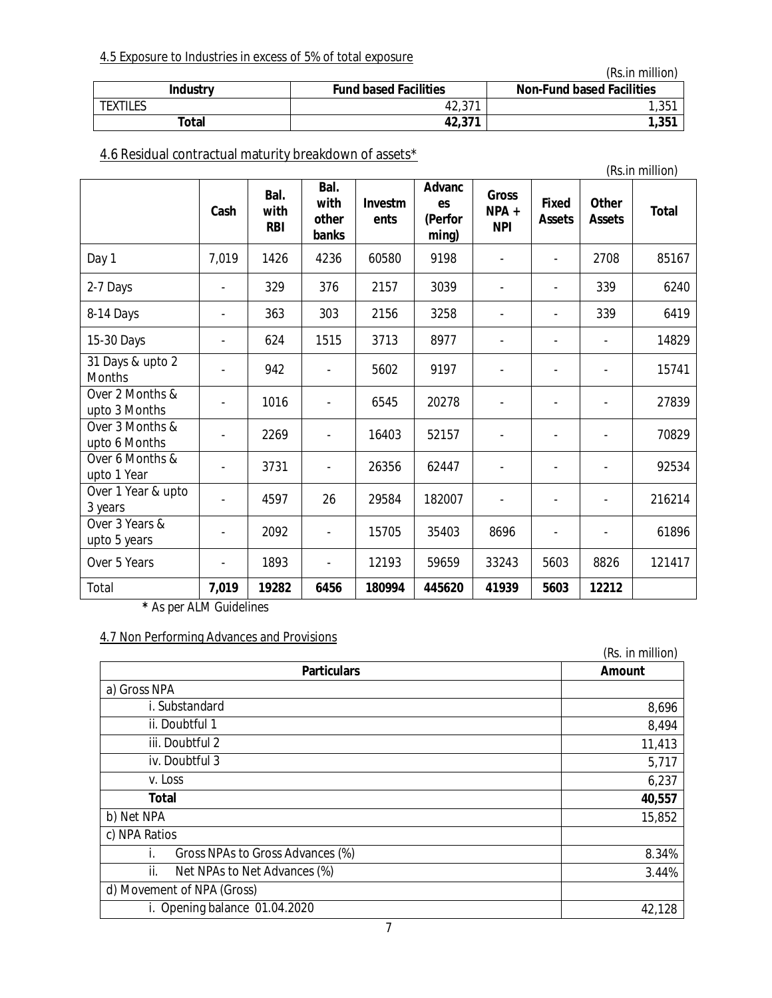## 4.5 Exposure to Industries in excess of 5% of total exposure

*(Rs.in million)*

| <b>Industry</b> | <b>Fund based Facilities</b> | <b>Non-Fund based Facilities</b> |
|-----------------|------------------------------|----------------------------------|
| textiles        | 10 071<br>42,37              | ,351                             |
| Total           | 42,371                       | ,351                             |

## 4.6 Residual contractual maturity breakdown of assets\*

|                                   |                |                            |                                |                 |                                         |                                       |                               |                               | (Rs.in million) |
|-----------------------------------|----------------|----------------------------|--------------------------------|-----------------|-----------------------------------------|---------------------------------------|-------------------------------|-------------------------------|-----------------|
|                                   | Cash           | Bal.<br>with<br><b>RBI</b> | Bal.<br>with<br>other<br>banks | Investm<br>ents | <b>Advanc</b><br>es<br>(Perfor<br>ming) | <b>Gross</b><br>$NPA +$<br><b>NPI</b> | <b>Fixed</b><br><b>Assets</b> | <b>Other</b><br><b>Assets</b> | <b>Total</b>    |
| Day 1                             | 7,019          | 1426                       | 4236                           | 60580           | 9198                                    |                                       |                               | 2708                          | 85167           |
| 2-7 Days                          |                | 329                        | 376                            | 2157            | 3039                                    |                                       |                               | 339                           | 6240            |
| 8-14 Days                         | ۰              | 363                        | 303                            | 2156            | 3258                                    |                                       | $\overline{\phantom{a}}$      | 339                           | 6419            |
| 15-30 Days                        |                | 624                        | 1515                           | 3713            | 8977                                    |                                       |                               |                               | 14829           |
| 31 Days & upto 2<br><b>Months</b> |                | 942                        |                                | 5602            | 9197                                    |                                       |                               |                               | 15741           |
| Over 2 Months &<br>upto 3 Months  |                | 1016                       |                                | 6545            | 20278                                   |                                       |                               |                               | 27839           |
| Over 3 Months &<br>upto 6 Months  | $\blacksquare$ | 2269                       |                                | 16403           | 52157                                   |                                       |                               |                               | 70829           |
| Over 6 Months &<br>upto 1 Year    |                | 3731                       |                                | 26356           | 62447                                   |                                       |                               |                               | 92534           |
| Over 1 Year & upto<br>3 years     |                | 4597                       | 26                             | 29584           | 182007                                  |                                       |                               |                               | 216214          |
| Over 3 Years &<br>upto 5 years    | $\overline{a}$ | 2092                       | ÷,                             | 15705           | 35403                                   | 8696                                  |                               |                               | 61896           |
| Over 5 Years                      | $\blacksquare$ | 1893                       | $\blacksquare$                 | 12193           | 59659                                   | 33243                                 | 5603                          | 8826                          | 121417          |
| Total                             | 7,019          | 19282                      | 6456                           | 180994          | 445620                                  | 41939                                 | 5603                          | 12212                         |                 |

*\* As per ALM Guidelines*

# 4.7 Non Performing Advances and Provisions

|                                        | (Rs. in million) |
|----------------------------------------|------------------|
| <b>Particulars</b>                     | <b>Amount</b>    |
| a) Gross NPA                           |                  |
| i. Substandard                         | 8,696            |
| ii. Doubtful 1                         | 8,494            |
| iii. Doubtful 2                        | 11,413           |
| iv. Doubtful 3                         | 5,717            |
| v. Loss                                | 6,237            |
| <b>Total</b>                           | 40,557           |
| b) Net NPA                             | 15,852           |
| c) NPA Ratios                          |                  |
| Gross NPAs to Gross Advances (%)<br>Τ. | 8.34%            |
| ii.<br>Net NPAs to Net Advances (%)    | 3.44%            |
| d) Movement of NPA (Gross)             |                  |
| i. Opening balance 01.04.2020          | 42,128           |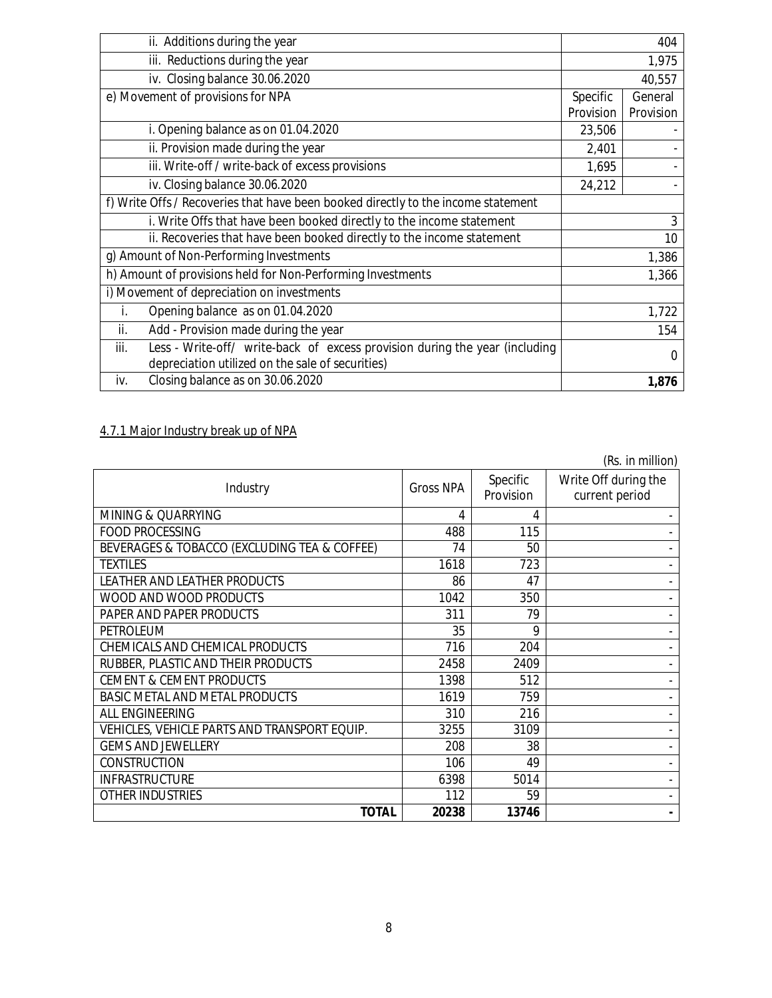| ii. Additions during the year                                                       |           | 404       |
|-------------------------------------------------------------------------------------|-----------|-----------|
| iii. Reductions during the year                                                     | 1,975     |           |
| iv. Closing balance 30.06.2020                                                      |           | 40,557    |
| e) Movement of provisions for NPA                                                   | Specific  | General   |
|                                                                                     | Provision | Provision |
| i. Opening balance as on 01.04.2020                                                 | 23,506    |           |
| ii. Provision made during the year                                                  | 2,401     |           |
| iii. Write-off / write-back of excess provisions                                    | 1,695     |           |
| iv. Closing balance 30.06.2020                                                      | 24,212    |           |
| f) Write Offs / Recoveries that have been booked directly to the income statement   |           |           |
| i. Write Offs that have been booked directly to the income statement                | 3         |           |
| ii. Recoveries that have been booked directly to the income statement               |           | 10        |
| g) Amount of Non-Performing Investments                                             |           | 1,386     |
| h) Amount of provisions held for Non-Performing Investments                         |           | 1,366     |
| i) Movement of depreciation on investments                                          |           |           |
| Opening balance as on 01.04.2020<br>i.                                              |           | 1,722     |
| Add - Provision made during the year<br>ii.                                         |           | 154       |
| Less - Write-off/ write-back of excess provision during the year (including<br>iii. |           | 0         |
| depreciation utilized on the sale of securities)                                    |           |           |
| Closing balance as on 30.06.2020<br>iv.                                             |           | 1,876     |

## 4.7.1 Major Industry break up of NPA

|                                              |                  |                       | (Rs. in million)                       |
|----------------------------------------------|------------------|-----------------------|----------------------------------------|
| Industry                                     | <b>Gross NPA</b> | Specific<br>Provision | Write Off during the<br>current period |
| MINING & QUARRYING                           | 4                | 4                     | $\sim$                                 |
| <b>FOOD PROCESSING</b>                       | 488              | 115                   |                                        |
| BEVERAGES & TOBACCO (EXCLUDING TEA & COFFEE) | 74               | 50                    |                                        |
| <b>TEXTILES</b>                              | 1618             | 723                   |                                        |
| LEATHER AND LEATHER PRODUCTS                 | 86               | 47                    |                                        |
| WOOD AND WOOD PRODUCTS                       | 1042             | 350                   |                                        |
| PAPER AND PAPER PRODUCTS                     | 311              | 79                    |                                        |
| <b>PETROLEUM</b>                             | 35               | 9                     |                                        |
| CHEMICALS AND CHEMICAL PRODUCTS              | 716              | 204                   |                                        |
| RUBBER, PLASTIC AND THEIR PRODUCTS           | 2458             | 2409                  |                                        |
| <b>CEMENT &amp; CEMENT PRODUCTS</b>          | 1398             | 512                   |                                        |
| BASIC METAL AND METAL PRODUCTS               | 1619             | 759                   |                                        |
| ALL ENGINEERING                              | 310              | 216                   |                                        |
| VEHICLES, VEHICLE PARTS AND TRANSPORT EQUIP. | 3255             | 3109                  |                                        |
| <b>GEMS AND JEWELLERY</b>                    | 208              | 38                    |                                        |
| <b>CONSTRUCTION</b>                          | 106              | 49                    |                                        |
| <b>INFRASTRUCTURE</b>                        | 6398             | 5014                  |                                        |
| <b>OTHER INDUSTRIES</b>                      | 112              | 59                    |                                        |
| <b>TOTAL</b>                                 | 20238            | 13746                 |                                        |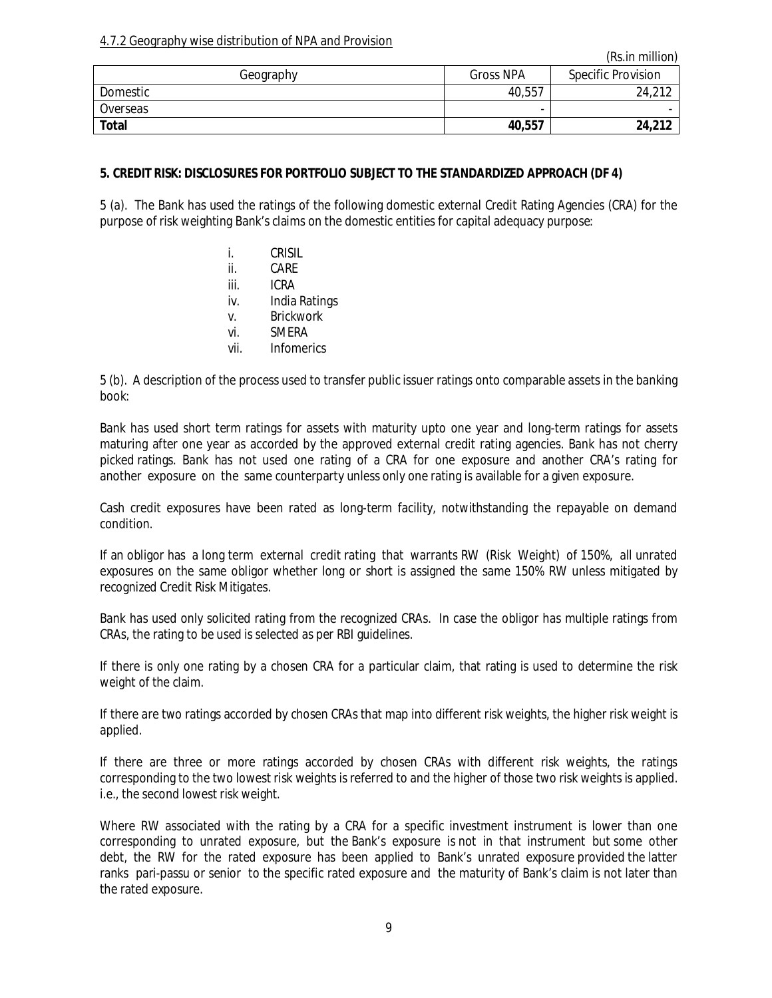### 4.7.2 Geography wise distribution of NPA and Provision

|              |           | (KS,III, IIIIII)          |
|--------------|-----------|---------------------------|
| Geography    | Gross NPA | <b>Specific Provision</b> |
| Domestic     | 40,557    | 24,212                    |
| Overseas     | -         |                           |
| <b>Total</b> | 40,557    | 24,212                    |

*(Rs.in million)*

### **5. CREDIT RISK: DISCLOSURES FOR PORTFOLIO SUBJECT TO THE STANDARDIZED APPROACH (DF 4)**

5 (a). The Bank has used the ratings of the following domestic external Credit Rating Agencies (CRA) for the purpose of risk weighting Bank's claims on the domestic entities for capital adequacy purpose:

- i. CRISIL
- ii. CARE
- iii. ICRA
- iv. India Ratings
- v. Brickwork
- vi. SMERA
- vii. Infomerics

5 (b). A description of the process used to transfer public issuer ratings onto comparable assets in the banking book:

Bank has used short term ratings for assets with maturity upto one year and long-term ratings for assets maturing after one year as accorded by the approved external credit rating agencies. Bank has not cherry picked ratings. Bank has not used one rating of a CRA for one exposure and another CRA's rating for another exposure on the same counterparty unless only one rating is available for a given exposure.

Cash credit exposures have been rated as long-term facility, notwithstanding the repayable on demand condition.

If an obligor has a long term external credit rating that warrants RW (Risk Weight) of 150%, all unrated exposures on the same obligor whether long or short is assigned the same 150% RW unless mitigated by recognized Credit Risk Mitigates.

Bank has used only solicited rating from the recognized CRAs. In case the obligor has multiple ratings from CRAs, the rating to be used is selected as per RBI guidelines.

If there is only one rating by a chosen CRA for a particular claim, that rating is used to determine the risk weight of the claim.

If there are two ratings accorded by chosen CRAs that map into different risk weights, the higher risk weight is applied.

If there are three or more ratings accorded by chosen CRAs with different risk weights, the ratings corresponding to the two lowest risk weights is referred to and the higher of those two risk weights is applied. i.e., the second lowest risk weight.

Where RW associated with the rating by a CRA for a specific investment instrument is lower than one corresponding to unrated exposure, but the Bank's exposure is not in that instrument but some other debt, the RW for the rated exposure has been applied to Bank's unrated exposure provided the latter ranks pari-passu or senior to the specific rated exposure and the maturity of Bank's claim is not later than the rated exposure.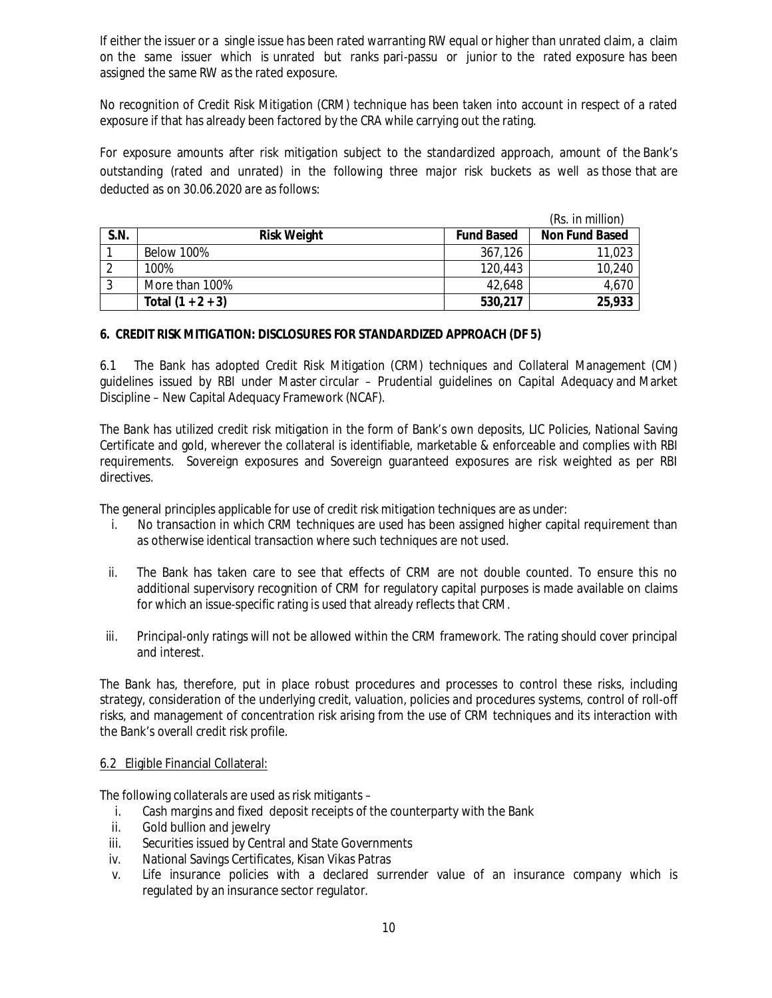If either the issuer or a single issue has been rated warranting RW equal or higher than unrated claim, a claim on the same issuer which is unrated but ranks pari-passu or junior to the rated exposure has been assigned the same RW as the rated exposure.

No recognition of Credit Risk Mitigation (CRM) technique has been taken into account in respect of a rated exposure if that has already been factored by the CRA while carrying out the rating.

For exposure amounts after risk mitigation subject to the standardized approach, amount of the Bank's outstanding (rated and unrated) in the following three major risk buckets as well as those that are deducted as on 30.06.2020 are as follows:

|             | (Rs. in million)    |                   |                       |
|-------------|---------------------|-------------------|-----------------------|
| <b>S.N.</b> | <b>Risk Weight</b>  | <b>Fund Based</b> | <b>Non Fund Based</b> |
|             | Below 100%          | 367,126           | 11,023                |
|             | 100%                | 120,443           | 10,240                |
|             | More than 100%      | 42,648            | 4,670                 |
|             | Total $(1 + 2 + 3)$ | 530,217           | 25,933                |

### **6. CREDIT RISK MITIGATION: DISCLOSURES FOR STANDARDIZED APPROACH (DF 5)**

6.1 The Bank has adopted Credit Risk Mitigation (CRM) techniques and Collateral Management (CM) guidelines issued by RBI under Master circular – Prudential guidelines on Capital Adequacy and Market Discipline – New Capital Adequacy Framework (NCAF).

The Bank has utilized credit risk mitigation in the form of Bank's own deposits, LIC Policies, National Saving Certificate and gold, wherever the collateral is identifiable, marketable & enforceable and complies with RBI requirements. Sovereign exposures and Sovereign guaranteed exposures are risk weighted as per RBI directives.

The general principles applicable for use of credit risk mitigation techniques are as under:

- i. No transaction in which CRM techniques are used has been assigned higher capital requirement than as otherwise identical transaction where such techniques are not used.
- ii. The Bank has taken care to see that effects of CRM are not double counted. To ensure this no additional supervisory recognition of CRM for regulatory capital purposes is made available on claims for which an issue-specific rating is used that already reflects that CRM.
- iii. Principal-only ratings will not be allowed within the CRM framework. The rating should cover principal and interest.

The Bank has, therefore, put in place robust procedures and processes to control these risks, including strategy, consideration of the underlying credit, valuation, policies and procedures systems, control of roll-off risks, and management of concentration risk arising from the use of CRM techniques and its interaction with the Bank's overall credit risk profile.

#### 6.2 Eligible Financial Collateral:

The following collaterals are used as risk mitigants –

- i. Cash margins and fixed deposit receipts of the counterparty with the Bank
- ii. Gold bullion and jewelry
- iii. Securities issued by Central and State Governments
- iv. National Savings Certificates, Kisan Vikas Patras
- v. Life insurance policies with a declared surrender value of an insurance company which is regulated by an insurance sector regulator.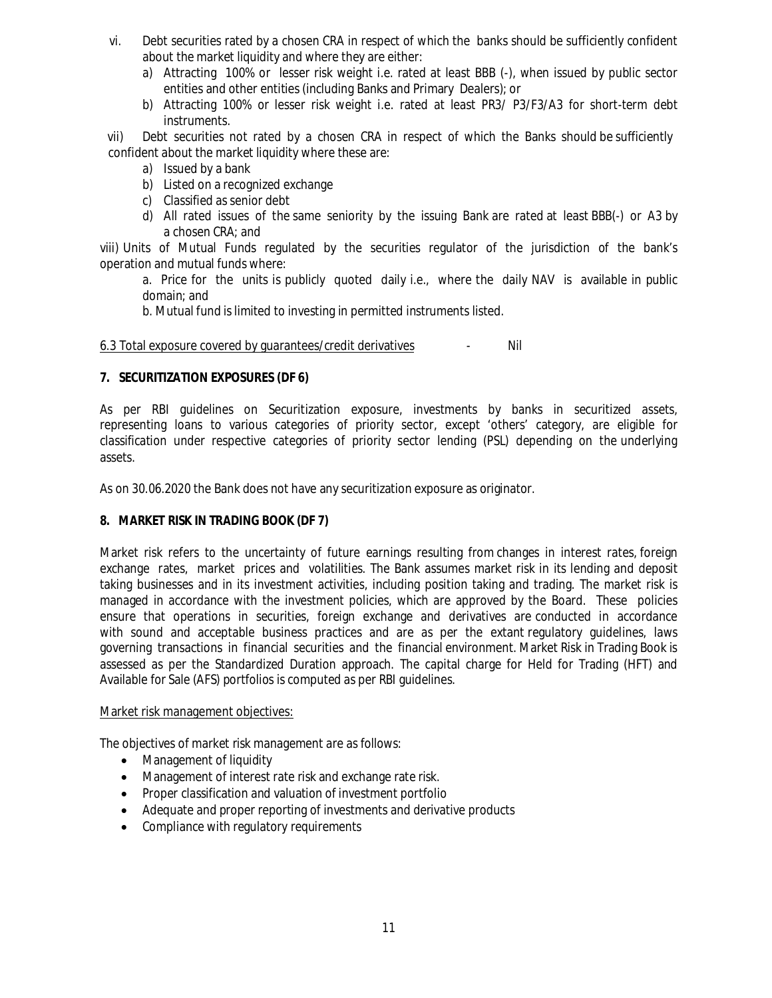- vi. Debt securities rated by a chosen CRA in respect of which the banks should be sufficiently confident about the market liquidity and where they are either:
	- a) Attracting 100% or lesser risk weight i.e. rated at least BBB (-), when issued by public sector entities and other entities (including Banks and Primary Dealers); or
	- b) Attracting 100% or lesser risk weight i.e. rated at least PR3/ P3/F3/A3 for short-term debt instruments.

vii) Debt securities not rated by a chosen CRA in respect of which the Banks should be sufficiently confident about the market liquidity where these are:

- a) Issued by a bank
- b) Listed on a recognized exchange
- c) Classified as senior debt
- d) All rated issues of the same seniority by the issuing Bank are rated at least BBB(-) or A3 by a chosen CRA; and

viii) Units of Mutual Funds regulated by the securities regulator of the jurisdiction of the bank's operation and mutual funds where:

a. Price for the units is publicly quoted daily i.e., where the daily NAV is available in public domain; and

b. Mutual fund is limited to investing in permitted instruments listed.

6.3 Total exposure covered by guarantees/credit derivatives - Nil

#### **7. SECURITIZATION EXPOSURES (DF 6)**

As per RBI guidelines on Securitization exposure, investments by banks in securitized assets, representing loans to various categories of priority sector, except 'others' category, are eligible for classification under respective categories of priority sector lending (PSL) depending on the underlying assets.

As on 30.06.2020 the Bank does not have any securitization exposure as originator.

### **8. MARKET RISK IN TRADING BOOK (DF 7)**

Market risk refers to the uncertainty of future earnings resulting from changes in interest rates, foreign exchange rates, market prices and volatilities. The Bank assumes market risk in its lending and deposit taking businesses and in its investment activities, including position taking and trading. The market risk is managed in accordance with the investment policies, which are approved by the Board. These policies ensure that operations in securities, foreign exchange and derivatives are conducted in accordance with sound and acceptable business practices and are as per the extant regulatory guidelines, laws governing transactions in financial securities and the financial environment. Market Risk in Trading Book is assessed as per the Standardized Duration approach. The capital charge for Held for Trading (HFT) and Available for Sale (AFS) portfolios is computed as per RBI guidelines.

#### Market risk management objectives:

The objectives of market risk management are as follows:

- Management of liquidity
- Management of interest rate risk and exchange rate risk.
- Proper classification and valuation of investment portfolio
- Adequate and proper reporting of investments and derivative products
- Compliance with regulatory requirements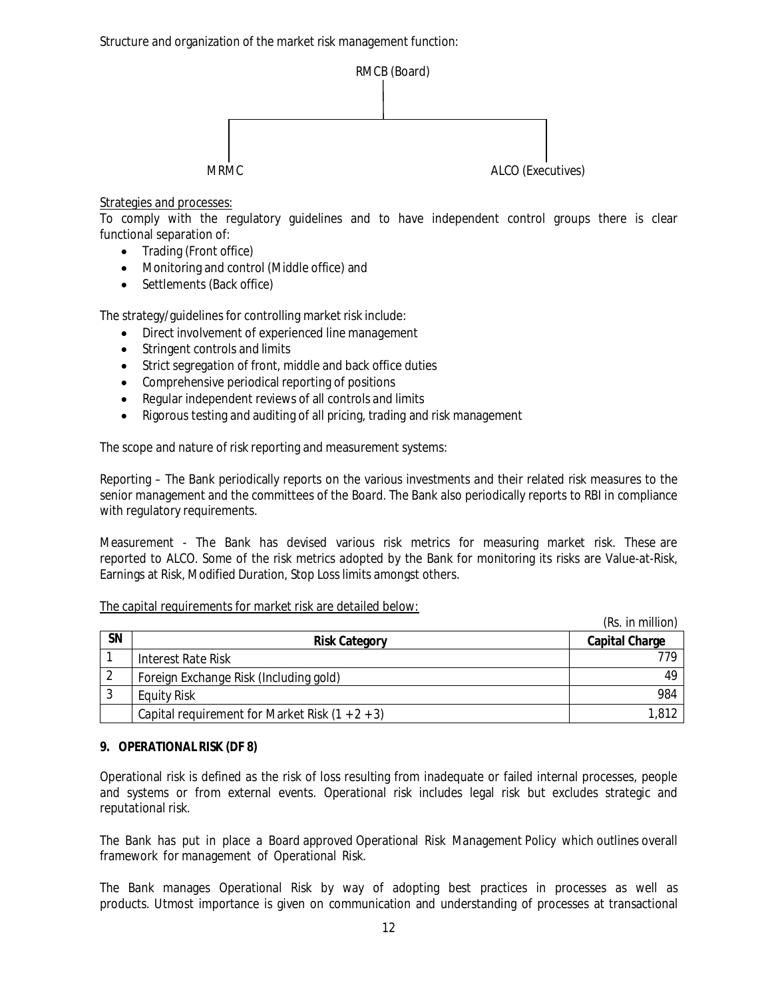

Strategies and processes:

To comply with the regulatory guidelines and to have independent control groups there is clear functional separation of:

- Trading (Front office)
- Monitoring and control (Middle office) and
- Settlements (Back office)

The strategy/guidelines for controlling market risk include:

- Direct involvement of experienced line management
- Stringent controls and limits
- Strict segregation of front, middle and back office duties
- Comprehensive periodical reporting of positions
- Regular independent reviews of all controls and limits
- Rigorous testing and auditing of all pricing, trading and risk management

The scope and nature of risk reporting and measurement systems:

Reporting – The Bank periodically reports on the various investments and their related risk measures to the senior management and the committees of the Board. The Bank also periodically reports to RBI in compliance with regulatory requirements.

Measurement - The Bank has devised various risk metrics for measuring market risk. These are reported to ALCO. Some of the risk metrics adopted by the Bank for monitoring its risks are Value-at-Risk, Earnings at Risk, Modified Duration, Stop Loss limits amongst others.

#### The capital requirements for market risk are detailed below:

|           |                                                   | (Rs. in million)      |
|-----------|---------------------------------------------------|-----------------------|
| <b>SN</b> | <b>Risk Category</b>                              | <b>Capital Charge</b> |
|           | Interest Rate Risk                                | 779                   |
|           | Foreign Exchange Risk (Including gold)            | 49                    |
| J         | <b>Equity Risk</b>                                | 984                   |
|           | Capital requirement for Market Risk $(1 + 2 + 3)$ | 1,812                 |

### **9. OPERATIONAL RISK (DF 8)**

Operational risk is defined as the risk of loss resulting from inadequate or failed internal processes, people and systems or from external events. Operational risk includes legal risk but excludes strategic and reputational risk.

The Bank has put in place a Board approved Operational Risk Management Policy which outlines overall framework for management of Operational Risk.

The Bank manages Operational Risk by way of adopting best practices in processes as well as products. Utmost importance is given on communication and understanding of processes at transactional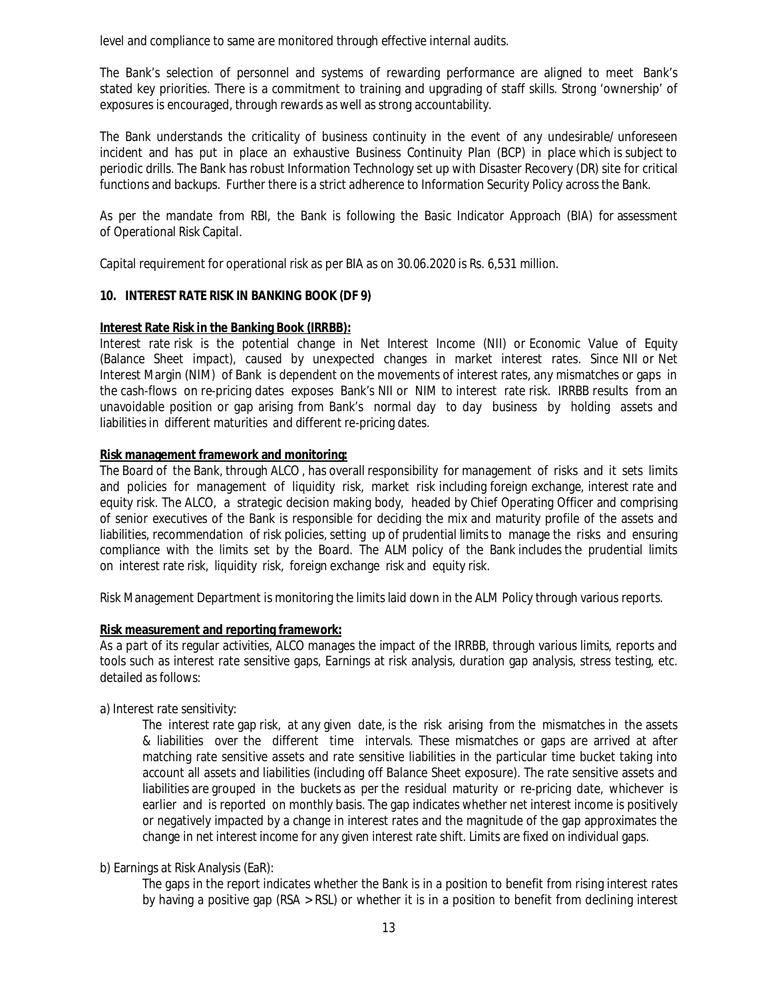level and compliance to same are monitored through effective internal audits.

The Bank's selection of personnel and systems of rewarding performance are aligned to meet Bank's stated key priorities. There is a commitment to training and upgrading of staff skills. Strong 'ownership' of exposures is encouraged, through rewards as well as strong accountability.

The Bank understands the criticality of business continuity in the event of any undesirable/ unforeseen incident and has put in place an exhaustive Business Continuity Plan (BCP) in place which is subject to periodic drills. The Bank has robust Information Technology set up with Disaster Recovery (DR) site for critical functions and backups. Further there is a strict adherence to Information Security Policy across the Bank.

As per the mandate from RBI, the Bank is following the Basic Indicator Approach (BIA) for assessment of Operational Risk Capital.

Capital requirement for operational risk as per BIA as on 30.06.2020 is Rs. 6,531 million.

#### **10. INTEREST RATE RISK IN BANKING BOOK (DF 9)**

#### **Interest Rate Risk in the Banking Book (IRRBB):**

Interest rate risk is the potential change in Net Interest Income (NII) or Economic Value of Equity (Balance Sheet impact), caused by unexpected changes in market interest rates. Since NII or Net Interest Margin (NIM) of Bank is dependent on the movements of interest rates, any mismatches or gaps in the cash-flows on re-pricing dates exposes Bank's NII or NIM to interest rate risk. IRRBB results from an unavoidable position or gap arising from Bank's normal day to day business by holding assets and liabilities in different maturities and different re-pricing dates.

#### **Risk management framework and monitoring:**

The Board of the Bank, through ALCO , has overall responsibility for management of risks and it sets limits and policies for management of liquidity risk, market risk including foreign exchange, interest rate and equity risk. The ALCO, a strategic decision making body, headed by Chief Operating Officer and comprising of senior executives of the Bank is responsible for deciding the mix and maturity profile of the assets and liabilities, recommendation of risk policies, setting up of prudential limits to manage the risks and ensuring compliance with the limits set by the Board. The ALM policy of the Bank includes the prudential limits on interest rate risk, liquidity risk, foreign exchange risk and equity risk.

Risk Management Department is monitoring the limits laid down in the ALM Policy through various reports.

#### **Risk measurement and reporting framework:**

As a part of its regular activities, ALCO manages the impact of the IRRBB, through various limits, reports and tools such as interest rate sensitive gaps, Earnings at risk analysis, duration gap analysis, stress testing, etc. detailed as follows:

a) Interest rate sensitivity:

The interest rate gap risk, at any given date, is the risk arising from the mismatches in the assets & liabilities over the different time intervals. These mismatches or gaps are arrived at after matching rate sensitive assets and rate sensitive liabilities in the particular time bucket taking into account all assets and liabilities (including off Balance Sheet exposure). The rate sensitive assets and liabilities are grouped in the buckets as per the residual maturity or re-pricing date, whichever is earlier and is reported on monthly basis. The gap indicates whether net interest income is positively or negatively impacted by a change in interest rates and the magnitude of the gap approximates the change in net interest income for any given interest rate shift. Limits are fixed on individual gaps.

### b) Earnings at Risk Analysis (EaR):

The gaps in the report indicates whether the Bank is in a position to benefit from rising interest rates by having a positive gap (RSA > RSL) or whether it is in a position to benefit from declining interest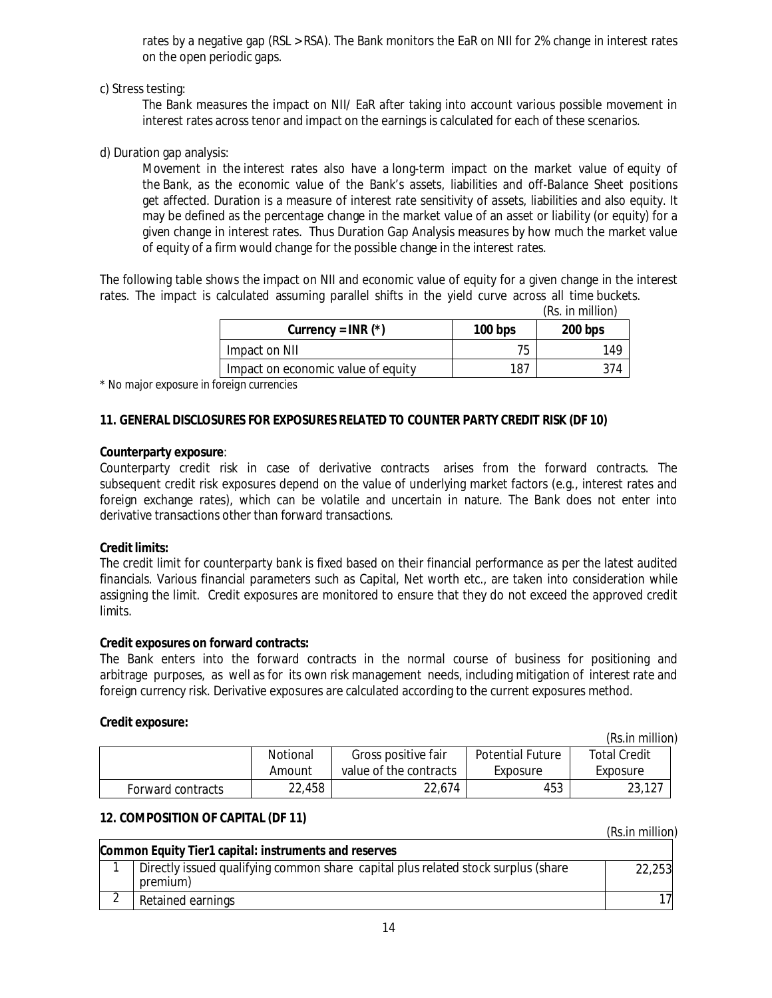rates by a negative gap (RSL > RSA). The Bank monitors the EaR on NII for 2% change in interest rates on the open periodic gaps.

c) Stress testing:

The Bank measures the impact on NII/ EaR after taking into account various possible movement in interest rates across tenor and impact on the earnings is calculated for each of these scenarios.

d) Duration gap analysis:

Movement in the interest rates also have a long-term impact on the market value of equity of the Bank, as the economic value of the Bank's assets, liabilities and off-Balance Sheet positions get affected. Duration is a measure of interest rate sensitivity of assets, liabilities and also equity. It may be defined as the percentage change in the market value of an asset or liability (or equity) for a given change in interest rates. Thus Duration Gap Analysis measures by how much the market value of equity of a firm would change for the possible change in the interest rates.

The following table shows the impact on NII and economic value of equity for a given change in the interest rates. The impact is calculated assuming parallel shifts in the yield curve across all time buckets.

|  | (Rs. in million) |
|--|------------------|
|--|------------------|

| Currency = $INR$ (*)               | $100$ bps | 200 bps |
|------------------------------------|-----------|---------|
| Impact on NII                      | 75        | 149     |
| Impact on economic value of equity | 187       |         |

*\* No major exposure in foreign currencies*

### **11. GENERAL DISCLOSURES FOR EXPOSURES RELATED TO COUNTER PARTY CREDIT RISK (DF 10)**

### **Counterparty exposure**:

Counterparty credit risk in case of derivative contracts arises from the forward contracts. The subsequent credit risk exposures depend on the value of underlying market factors (e.g., interest rates and foreign exchange rates), which can be volatile and uncertain in nature. The Bank does not enter into derivative transactions other than forward transactions.

### **Credit limits:**

The credit limit for counterparty bank is fixed based on their financial performance as per the latest audited financials. Various financial parameters such as Capital, Net worth etc., are taken into consideration while assigning the limit. Credit exposures are monitored to ensure that they do not exceed the approved credit limits.

### **Credit exposures on forward contracts:**

The Bank enters into the forward contracts in the normal course of business for positioning and arbitrage purposes, as well as for its own risk management needs, including mitigation of interest rate and foreign currency risk. Derivative exposures are calculated according to the current exposures method.

### **Credit exposure:**

*(Rs.in million)*

|                   |          |                        |                         | ,,,,,,,,,,,,,,,,,,,,, |
|-------------------|----------|------------------------|-------------------------|-----------------------|
|                   | Notional | Gross positive fair    | <b>Potential Future</b> | <b>Total Credit</b>   |
|                   | Amount   | value of the contracts | Exposure                | Exposure              |
| Forward contracts | 22,458   | 22.674                 | 453                     | 23,127                |

### **12. COMPOSITION OF CAPITAL (DF 11)**

 *(Rs.in million)*

| Common Equity Tier1 capital: instruments and reserves                             |        |  |  |
|-----------------------------------------------------------------------------------|--------|--|--|
| Directly issued qualifying common share capital plus related stock surplus (share | 22,253 |  |  |
| premium)                                                                          |        |  |  |
| Retained earnings                                                                 |        |  |  |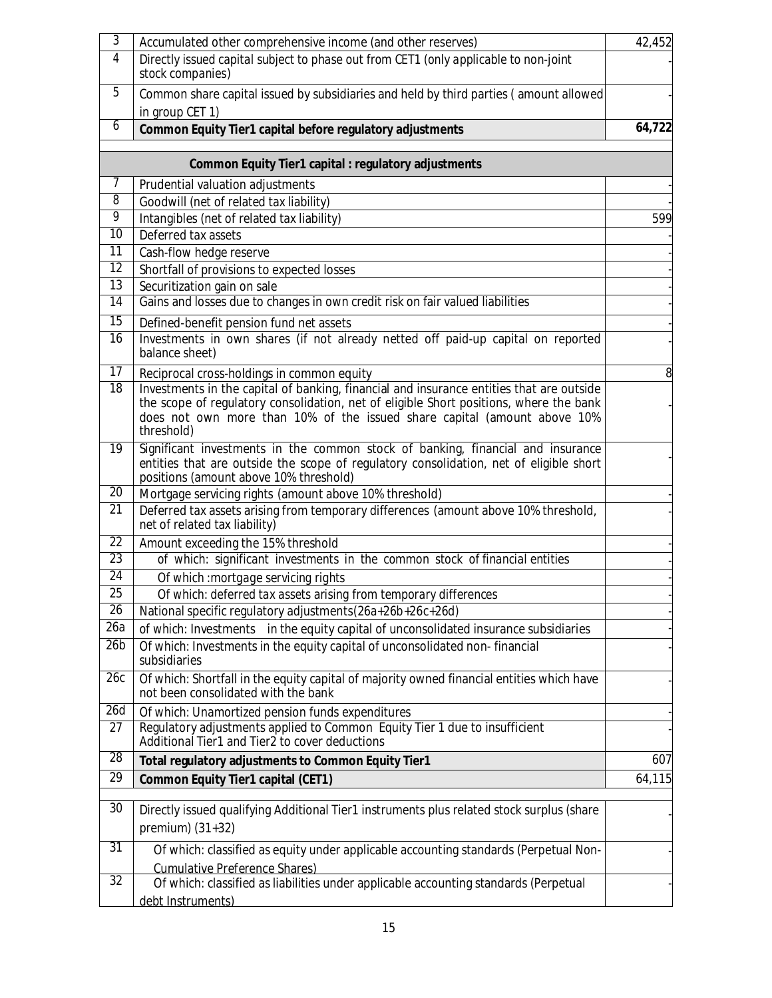| 3                   | Accumulated other comprehensive income (and other reserves)                                                                                                                                                                                                                  | 42,452 |
|---------------------|------------------------------------------------------------------------------------------------------------------------------------------------------------------------------------------------------------------------------------------------------------------------------|--------|
| $\overline{4}$      | Directly issued capital subject to phase out from CET1 (only applicable to non-joint<br>stock companies)                                                                                                                                                                     |        |
| 5                   | Common share capital issued by subsidiaries and held by third parties (amount allowed<br>in group CET 1)                                                                                                                                                                     |        |
| 6                   | Common Equity Tier1 capital before regulatory adjustments                                                                                                                                                                                                                    | 64,722 |
|                     |                                                                                                                                                                                                                                                                              |        |
|                     | <b>Common Equity Tier1 capital : regulatory adjustments</b>                                                                                                                                                                                                                  |        |
| 7                   | Prudential valuation adjustments                                                                                                                                                                                                                                             |        |
| $\overline{8}$<br>9 | Goodwill (net of related tax liability)                                                                                                                                                                                                                                      |        |
| 10                  | Intangibles (net of related tax liability)<br>Deferred tax assets                                                                                                                                                                                                            | 599    |
| 11                  |                                                                                                                                                                                                                                                                              |        |
| 12                  | Cash-flow hedge reserve                                                                                                                                                                                                                                                      |        |
| $\overline{13}$     | Shortfall of provisions to expected losses<br>Securitization gain on sale                                                                                                                                                                                                    |        |
| 14                  | Gains and losses due to changes in own credit risk on fair valued liabilities                                                                                                                                                                                                |        |
| 15                  |                                                                                                                                                                                                                                                                              |        |
| $\overline{16}$     | Defined-benefit pension fund net assets<br>Investments in own shares (if not already netted off paid-up capital on reported<br>balance sheet)                                                                                                                                |        |
| 17                  | Reciprocal cross-holdings in common equity                                                                                                                                                                                                                                   | 8      |
| $\overline{18}$     | Investments in the capital of banking, financial and insurance entities that are outside<br>the scope of regulatory consolidation, net of eligible Short positions, where the bank<br>does not own more than 10% of the issued share capital (amount above 10%<br>threshold) |        |
| $\overline{19}$     | Significant investments in the common stock of banking, financial and insurance<br>entities that are outside the scope of regulatory consolidation, net of eligible short<br>positions (amount above 10% threshold)                                                          |        |
| 20                  | Mortgage servicing rights (amount above 10% threshold)                                                                                                                                                                                                                       |        |
| $\overline{21}$     | Deferred tax assets arising from temporary differences (amount above 10% threshold,<br>net of related tax liability)                                                                                                                                                         |        |
| 22                  | Amount exceeding the 15% threshold                                                                                                                                                                                                                                           |        |
| 23                  | of which: significant investments in the common stock of financial entities                                                                                                                                                                                                  |        |
| 24                  | Of which : mortgage servicing rights                                                                                                                                                                                                                                         |        |
| 25                  | Of which: deferred tax assets arising from temporary differences                                                                                                                                                                                                             |        |
| $\overline{26}$     | National specific regulatory adjustments(26a+26b+26c+26d)                                                                                                                                                                                                                    |        |
| 26a                 | of which: Investments in the equity capital of unconsolidated insurance subsidiaries                                                                                                                                                                                         |        |
| 26 <sub>b</sub>     | Of which: Investments in the equity capital of unconsolidated non-financial<br>subsidiaries                                                                                                                                                                                  |        |
| 26c                 | Of which: Shortfall in the equity capital of majority owned financial entities which have<br>not been consolidated with the bank                                                                                                                                             |        |
| 26d                 | Of which: Unamortized pension funds expenditures                                                                                                                                                                                                                             |        |
| 27                  | Regulatory adjustments applied to Common Equity Tier 1 due to insufficient<br>Additional Tier1 and Tier2 to cover deductions                                                                                                                                                 |        |
| 28                  | Total regulatory adjustments to Common Equity Tier1                                                                                                                                                                                                                          | 607    |
| 29                  | <b>Common Equity Tier1 capital (CET1)</b>                                                                                                                                                                                                                                    | 64,115 |
| 30                  | Directly issued qualifying Additional Tier1 instruments plus related stock surplus (share<br>premium) $(31+32)$                                                                                                                                                              |        |
| 31                  |                                                                                                                                                                                                                                                                              |        |
|                     | Of which: classified as equity under applicable accounting standards (Perpetual Non-<br><b>Cumulative Preference Shares)</b>                                                                                                                                                 |        |
| $\overline{32}$     | Of which: classified as liabilities under applicable accounting standards (Perpetual<br>debt Instruments)                                                                                                                                                                    |        |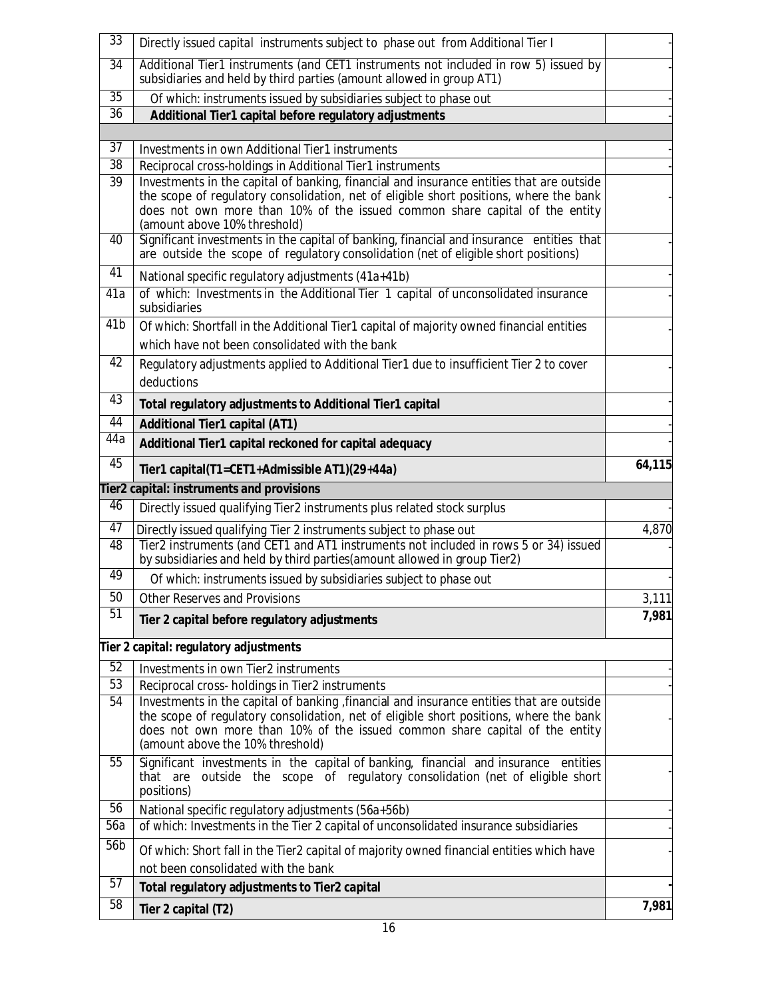| 33              | Directly issued capital instruments subject to phase out from Additional Tier I                                                                                                                                                                                                                   |                |
|-----------------|---------------------------------------------------------------------------------------------------------------------------------------------------------------------------------------------------------------------------------------------------------------------------------------------------|----------------|
| $\overline{34}$ | Additional Tier1 instruments (and CET1 instruments not included in row 5) issued by                                                                                                                                                                                                               |                |
|                 | subsidiaries and held by third parties (amount allowed in group AT1)                                                                                                                                                                                                                              |                |
| $\overline{35}$ | Of which: instruments issued by subsidiaries subject to phase out                                                                                                                                                                                                                                 |                |
| $\overline{36}$ | Additional Tier1 capital before regulatory adjustments                                                                                                                                                                                                                                            |                |
|                 |                                                                                                                                                                                                                                                                                                   |                |
| 37              | Investments in own Additional Tier1 instruments                                                                                                                                                                                                                                                   |                |
| 38              | Reciprocal cross-holdings in Additional Tier1 instruments                                                                                                                                                                                                                                         |                |
| $\overline{39}$ | Investments in the capital of banking, financial and insurance entities that are outside<br>the scope of regulatory consolidation, net of eligible short positions, where the bank<br>does not own more than 10% of the issued common share capital of the entity<br>(amount above 10% threshold) |                |
| 40              | Significant investments in the capital of banking, financial and insurance entities that<br>are outside the scope of regulatory consolidation (net of eligible short positions)                                                                                                                   |                |
| 41              | National specific regulatory adjustments (41a+41b)                                                                                                                                                                                                                                                |                |
| 41a             | of which: Investments in the Additional Tier 1 capital of unconsolidated insurance<br>subsidiaries                                                                                                                                                                                                |                |
| 41 <sub>b</sub> | Of which: Shortfall in the Additional Tier1 capital of majority owned financial entities                                                                                                                                                                                                          |                |
|                 | which have not been consolidated with the bank                                                                                                                                                                                                                                                    |                |
| 42              | Regulatory adjustments applied to Additional Tier1 due to insufficient Tier 2 to cover                                                                                                                                                                                                            |                |
|                 | deductions                                                                                                                                                                                                                                                                                        |                |
| 43              | Total regulatory adjustments to Additional Tier1 capital                                                                                                                                                                                                                                          |                |
| 44              | <b>Additional Tier1 capital (AT1)</b>                                                                                                                                                                                                                                                             |                |
| 44a             | Additional Tier1 capital reckoned for capital adequacy                                                                                                                                                                                                                                            |                |
| 45              |                                                                                                                                                                                                                                                                                                   | 64,115         |
|                 | Tier1 capital(T1=CET1+Admissible AT1)(29+44a)                                                                                                                                                                                                                                                     |                |
|                 | <b>Tier2 capital: instruments and provisions</b>                                                                                                                                                                                                                                                  |                |
|                 |                                                                                                                                                                                                                                                                                                   |                |
| 46              | Directly issued qualifying Tier2 instruments plus related stock surplus                                                                                                                                                                                                                           |                |
| 47              | Directly issued qualifying Tier 2 instruments subject to phase out                                                                                                                                                                                                                                | 4,870          |
| 48              | Tier2 instruments (and CET1 and AT1 instruments not included in rows 5 or 34) issued<br>by subsidiaries and held by third parties (amount allowed in group Tier2)                                                                                                                                 |                |
| 49              | Of which: instruments issued by subsidiaries subject to phase out                                                                                                                                                                                                                                 |                |
| 50              | <b>Other Reserves and Provisions</b>                                                                                                                                                                                                                                                              |                |
| 51              |                                                                                                                                                                                                                                                                                                   |                |
|                 | Tier 2 capital before regulatory adjustments                                                                                                                                                                                                                                                      |                |
|                 | Tier 2 capital: regulatory adjustments                                                                                                                                                                                                                                                            |                |
| 52              | Investments in own Tier2 instruments                                                                                                                                                                                                                                                              |                |
| 53              | Reciprocal cross- holdings in Tier2 instruments                                                                                                                                                                                                                                                   |                |
| 54              | Investments in the capital of banking, financial and insurance entities that are outside                                                                                                                                                                                                          |                |
|                 | the scope of regulatory consolidation, net of eligible short positions, where the bank                                                                                                                                                                                                            |                |
|                 | does not own more than 10% of the issued common share capital of the entity                                                                                                                                                                                                                       |                |
|                 | (amount above the 10% threshold)                                                                                                                                                                                                                                                                  | 3,111<br>7,981 |
| $\overline{55}$ | Significant investments in the capital of banking, financial and insurance entities<br>that are outside the scope of regulatory consolidation (net of eligible short<br>positions)                                                                                                                |                |
| 56              | National specific regulatory adjustments (56a+56b)                                                                                                                                                                                                                                                |                |
| 56a             | of which: Investments in the Tier 2 capital of unconsolidated insurance subsidiaries                                                                                                                                                                                                              |                |
| 56b             |                                                                                                                                                                                                                                                                                                   |                |
|                 | Of which: Short fall in the Tier2 capital of majority owned financial entities which have                                                                                                                                                                                                         |                |
| $\overline{57}$ | not been consolidated with the bank                                                                                                                                                                                                                                                               |                |
| 58              | Total regulatory adjustments to Tier2 capital<br>Tier 2 capital (T2)                                                                                                                                                                                                                              | 7,981          |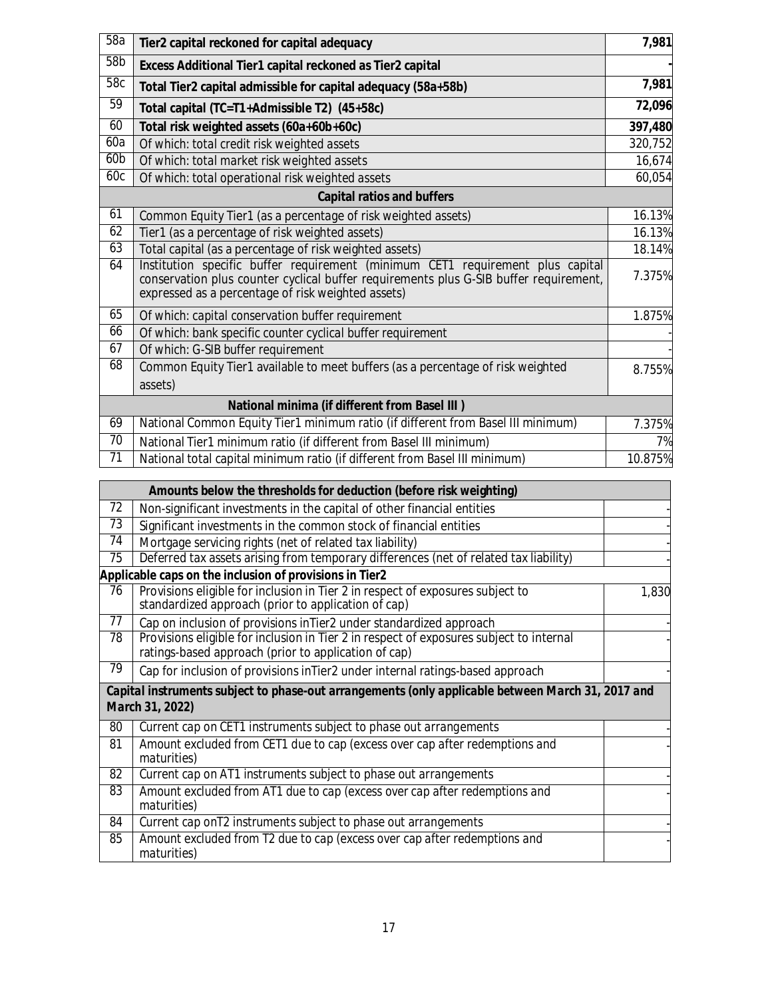| 58a             | Tier2 capital reckoned for capital adequacy                                                                                                                                                                                   | 7,981   |
|-----------------|-------------------------------------------------------------------------------------------------------------------------------------------------------------------------------------------------------------------------------|---------|
| 58b             | Excess Additional Tier1 capital reckoned as Tier2 capital                                                                                                                                                                     |         |
| 58c             | Total Tier2 capital admissible for capital adequacy (58a+58b)                                                                                                                                                                 | 7,981   |
| 59              | Total capital (TC=T1+Admissible T2) (45+58c)                                                                                                                                                                                  | 72,096  |
| 60              | Total risk weighted assets (60a+60b+60c)                                                                                                                                                                                      | 397,480 |
| 60a             | Of which: total credit risk weighted assets                                                                                                                                                                                   | 320,752 |
| 60 <sub>b</sub> | Of which: total market risk weighted assets                                                                                                                                                                                   | 16,674  |
| 60c             | Of which: total operational risk weighted assets                                                                                                                                                                              | 60,054  |
|                 | <b>Capital ratios and buffers</b>                                                                                                                                                                                             |         |
| 61              | Common Equity Tier1 (as a percentage of risk weighted assets)                                                                                                                                                                 | 16.13%  |
| 62              | Tier1 (as a percentage of risk weighted assets)                                                                                                                                                                               | 16.13%  |
| 63              | Total capital (as a percentage of risk weighted assets)                                                                                                                                                                       | 18.14%  |
| 64              | Institution specific buffer requirement (minimum CET1 requirement plus capital<br>conservation plus counter cyclical buffer requirements plus G-SIB buffer requirement,<br>expressed as a percentage of risk weighted assets) | 7.375%  |
| 65              | Of which: capital conservation buffer requirement                                                                                                                                                                             | 1.875%  |
| 66              | Of which: bank specific counter cyclical buffer requirement                                                                                                                                                                   |         |
| 67              | Of which: G-SIB buffer requirement                                                                                                                                                                                            |         |
| 68              | Common Equity Tier1 available to meet buffers (as a percentage of risk weighted                                                                                                                                               | 8.755%  |
|                 | assets)                                                                                                                                                                                                                       |         |
|                 | <b>National minima (if different from Basel III)</b>                                                                                                                                                                          |         |
| 69              | National Common Equity Tier1 minimum ratio (if different from Basel III minimum)                                                                                                                                              | 7.375%  |
| $\overline{70}$ | National Tier1 minimum ratio (if different from Basel III minimum)                                                                                                                                                            | 7%      |
| $\overline{71}$ | National total capital minimum ratio (if different from Basel III minimum)                                                                                                                                                    | 10.875% |

|    | Amounts below the thresholds for deduction (before risk weighting)                                                                              |       |
|----|-------------------------------------------------------------------------------------------------------------------------------------------------|-------|
| 72 | Non-significant investments in the capital of other financial entities                                                                          |       |
| 73 | Significant investments in the common stock of financial entities                                                                               |       |
| 74 | Mortgage servicing rights (net of related tax liability)                                                                                        |       |
| 75 | Deferred tax assets arising from temporary differences (net of related tax liability)                                                           |       |
|    | Applicable caps on the inclusion of provisions in Tier2                                                                                         |       |
| 76 | Provisions eligible for inclusion in Tier 2 in respect of exposures subject to<br>standardized approach (prior to application of cap)           | 1,830 |
| 77 | Cap on inclusion of provisions in Tier2 under standardized approach                                                                             |       |
| 78 | Provisions eligible for inclusion in Tier 2 in respect of exposures subject to internal<br>ratings-based approach (prior to application of cap) |       |
| 79 | Cap for inclusion of provisions inTier2 under internal ratings-based approach                                                                   |       |
|    | Capital instruments subject to phase-out arrangements (only applicable between March 31, 2017 and<br>March 31, 2022)                            |       |
| 80 | Current cap on CET1 instruments subject to phase out arrangements                                                                               |       |
| 81 | Amount excluded from CET1 due to cap (excess over cap after redemptions and<br>maturities)                                                      |       |
| 82 | Current cap on AT1 instruments subject to phase out arrangements                                                                                |       |
| 83 | Amount excluded from AT1 due to cap (excess over cap after redemptions and<br>maturities)                                                       |       |
| 84 | Current cap on T2 instruments subject to phase out arrangements                                                                                 |       |
| 85 | Amount excluded from T2 due to cap (excess over cap after redemptions and<br>maturities)                                                        |       |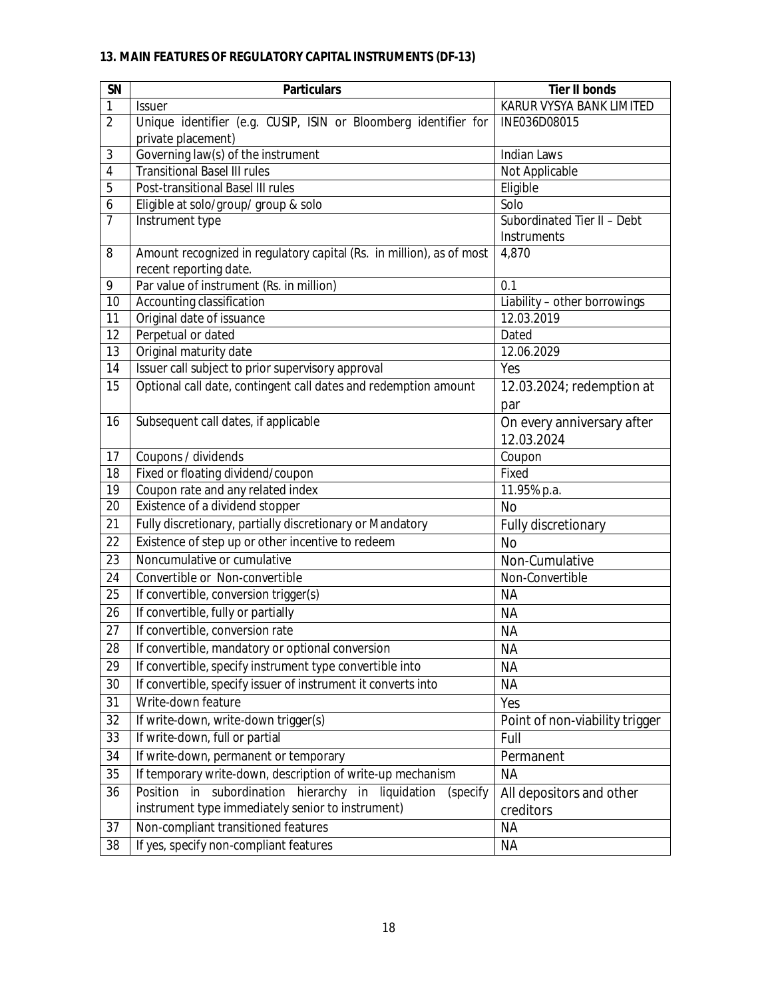# **13. MAIN FEATURES OF REGULATORY CAPITAL INSTRUMENTS (DF-13)**

| <b>SN</b>      | <b>Particulars</b>                                                                                                     | <b>Tier II bonds</b>                       |  |
|----------------|------------------------------------------------------------------------------------------------------------------------|--------------------------------------------|--|
| 1              | Issuer                                                                                                                 | KARUR VYSYA BANK LIMITED                   |  |
| $\overline{2}$ | Unique identifier (e.g. CUSIP, ISIN or Bloomberg identifier for                                                        | INE036D08015                               |  |
|                | private placement)                                                                                                     |                                            |  |
| 3              | Governing law(s) of the instrument                                                                                     | <b>Indian Laws</b>                         |  |
| $\overline{4}$ | <b>Transitional Basel III rules</b>                                                                                    | Not Applicable                             |  |
| 5              | Post-transitional Basel III rules                                                                                      | Eligible                                   |  |
| 6              | Eligible at solo/group/ group & solo                                                                                   | Solo                                       |  |
| 7              | Instrument type                                                                                                        | Subordinated Tier II - Debt<br>Instruments |  |
| 8              | Amount recognized in regulatory capital (Rs. in million), as of most<br>recent reporting date.                         | 4,870                                      |  |
| 9              | Par value of instrument (Rs. in million)                                                                               | 0.1                                        |  |
| 10             | Accounting classification                                                                                              | Liability - other borrowings               |  |
| 11             | Original date of issuance                                                                                              | 12.03.2019                                 |  |
| 12             | Perpetual or dated                                                                                                     | Dated                                      |  |
| 13             | Original maturity date                                                                                                 | 12.06.2029                                 |  |
| 14             | Issuer call subject to prior supervisory approval                                                                      | Yes                                        |  |
| 15             | Optional call date, contingent call dates and redemption amount                                                        | 12.03.2024; redemption at<br>par           |  |
| 16             | Subsequent call dates, if applicable                                                                                   | On every anniversary after<br>12.03.2024   |  |
| 17             | Coupons / dividends                                                                                                    | Coupon                                     |  |
| 18             | Fixed or floating dividend/coupon                                                                                      | Fixed                                      |  |
| 19             | Coupon rate and any related index                                                                                      | 11.95% p.a.                                |  |
| 20             | Existence of a dividend stopper                                                                                        | <b>No</b>                                  |  |
| 21             | Fully discretionary, partially discretionary or Mandatory                                                              | Fully discretionary                        |  |
| 22             | Existence of step up or other incentive to redeem                                                                      | <b>No</b>                                  |  |
| 23             | Noncumulative or cumulative                                                                                            | Non-Cumulative                             |  |
| 24             | Convertible or Non-convertible                                                                                         | Non-Convertible                            |  |
| 25             | If convertible, conversion trigger(s)                                                                                  | <b>NA</b>                                  |  |
| 26             | If convertible, fully or partially                                                                                     | <b>NA</b>                                  |  |
| 27             | If convertible, conversion rate                                                                                        | <b>NA</b>                                  |  |
| 28             | If convertible, mandatory or optional conversion                                                                       | ΝA                                         |  |
| 29             | If convertible, specify instrument type convertible into                                                               | <b>NA</b>                                  |  |
| 30             | If convertible, specify issuer of instrument it converts into                                                          | <b>NA</b>                                  |  |
| 31             | Write-down feature                                                                                                     | Yes                                        |  |
| 32             | If write-down, write-down trigger(s)                                                                                   | Point of non-viability trigger             |  |
| 33             | If write-down, full or partial                                                                                         | Full                                       |  |
| 34             | If write-down, permanent or temporary                                                                                  | Permanent                                  |  |
| 35             | If temporary write-down, description of write-up mechanism                                                             | <b>NA</b>                                  |  |
| 36             | Position in<br>subordination hierarchy in liquidation<br>(specify<br>instrument type immediately senior to instrument) | All depositors and other<br>creditors      |  |
| 37             | Non-compliant transitioned features                                                                                    | <b>NA</b>                                  |  |
| 38             | If yes, specify non-compliant features                                                                                 | <b>NA</b>                                  |  |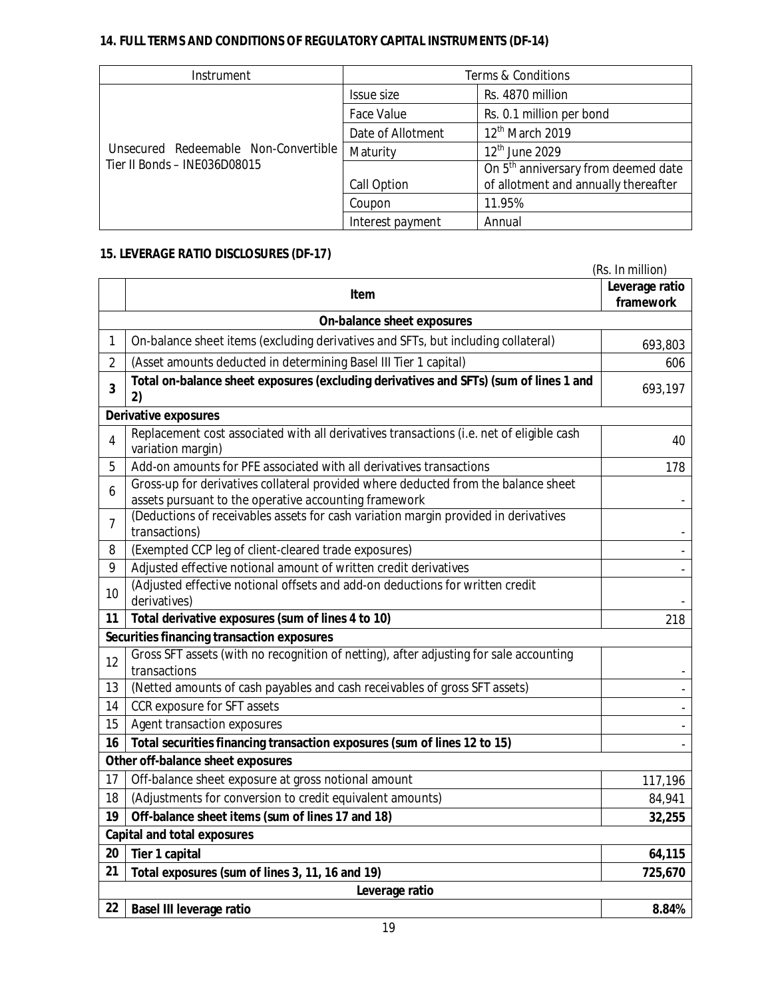# **14. FULL TERMS AND CONDITIONS OF REGULATORY CAPITAL INSTRUMENTS (DF-14)**

| Instrument                           | Terms & Conditions |                                                 |
|--------------------------------------|--------------------|-------------------------------------------------|
|                                      | Issue size         | Rs. 4870 million                                |
|                                      | Face Value         | Rs. 0.1 million per bond                        |
|                                      | Date of Allotment  | 12 <sup>th</sup> March 2019                     |
| Unsecured Redeemable Non-Convertible | Maturity           | $12th$ June 2029                                |
| Tier II Bonds - INE036D08015         |                    | On 5 <sup>th</sup> anniversary from deemed date |
|                                      | Call Option        | of allotment and annually thereafter            |
|                                      | Coupon             | 11.95%                                          |
|                                      | Interest payment   | Annual                                          |

# **15. LEVERAGE RATIO DISCLOSURES (DF-17)**

|                                    | (Rs. In million)                                                                                                                            |                             |  |  |  |  |
|------------------------------------|---------------------------------------------------------------------------------------------------------------------------------------------|-----------------------------|--|--|--|--|
|                                    | Item                                                                                                                                        | Leverage ratio<br>framework |  |  |  |  |
| On-balance sheet exposures         |                                                                                                                                             |                             |  |  |  |  |
| 1                                  | On-balance sheet items (excluding derivatives and SFTs, but including collateral)                                                           | 693,803                     |  |  |  |  |
| $\overline{2}$                     | (Asset amounts deducted in determining Basel III Tier 1 capital)                                                                            | 606                         |  |  |  |  |
| $\overline{\mathbf{3}}$            | Total on-balance sheet exposures (excluding derivatives and SFTs) (sum of lines 1 and<br>2)                                                 | 693,197                     |  |  |  |  |
|                                    | <b>Derivative exposures</b>                                                                                                                 |                             |  |  |  |  |
| 4                                  | Replacement cost associated with all derivatives transactions (i.e. net of eligible cash<br>variation margin)                               | 40                          |  |  |  |  |
| 5                                  | Add-on amounts for PFE associated with all derivatives transactions                                                                         | 178                         |  |  |  |  |
| 6                                  | Gross-up for derivatives collateral provided where deducted from the balance sheet<br>assets pursuant to the operative accounting framework |                             |  |  |  |  |
| $\overline{7}$                     | (Deductions of receivables assets for cash variation margin provided in derivatives<br>transactions)                                        |                             |  |  |  |  |
| 8                                  | (Exempted CCP leg of client-cleared trade exposures)                                                                                        |                             |  |  |  |  |
| 9                                  | Adjusted effective notional amount of written credit derivatives                                                                            |                             |  |  |  |  |
| 10                                 | (Adjusted effective notional offsets and add-on deductions for written credit<br>derivatives)                                               |                             |  |  |  |  |
| 11                                 | Total derivative exposures (sum of lines 4 to 10)                                                                                           | 218                         |  |  |  |  |
|                                    | Securities financing transaction exposures                                                                                                  |                             |  |  |  |  |
| 12                                 | Gross SFT assets (with no recognition of netting), after adjusting for sale accounting<br>transactions                                      |                             |  |  |  |  |
| 13                                 | (Netted amounts of cash payables and cash receivables of gross SFT assets)                                                                  |                             |  |  |  |  |
| 14                                 | CCR exposure for SFT assets                                                                                                                 |                             |  |  |  |  |
| 15                                 | Agent transaction exposures                                                                                                                 |                             |  |  |  |  |
| 16                                 | Total securities financing transaction exposures (sum of lines 12 to 15)                                                                    |                             |  |  |  |  |
|                                    | Other off-balance sheet exposures                                                                                                           |                             |  |  |  |  |
| 17                                 | Off-balance sheet exposure at gross notional amount                                                                                         | 117,196                     |  |  |  |  |
| 18                                 | (Adjustments for conversion to credit equivalent amounts)                                                                                   | 84,941                      |  |  |  |  |
| 19                                 | Off-balance sheet items (sum of lines 17 and 18)                                                                                            | 32,255                      |  |  |  |  |
| <b>Capital and total exposures</b> |                                                                                                                                             |                             |  |  |  |  |
| 20                                 | Tier 1 capital                                                                                                                              | 64,115                      |  |  |  |  |
| 21                                 | Total exposures (sum of lines 3, 11, 16 and 19)                                                                                             | 725,670                     |  |  |  |  |
| Leverage ratio                     |                                                                                                                                             |                             |  |  |  |  |
| 22                                 | <b>Basel III leverage ratio</b>                                                                                                             | 8.84%                       |  |  |  |  |